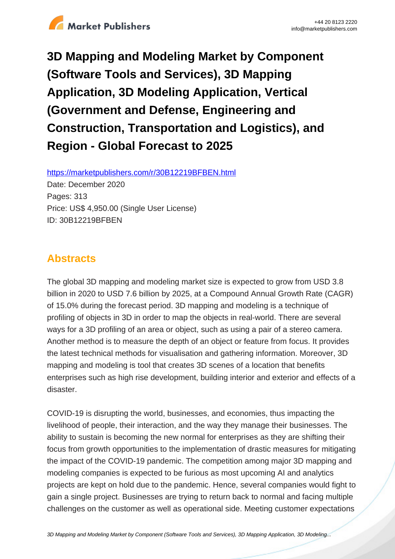

**3D Mapping and Modeling Market by Component (Software Tools and Services), 3D Mapping Application, 3D Modeling Application, Vertical (Government and Defense, Engineering and Construction, Transportation and Logistics), and Region - Global Forecast to 2025**

https://marketpublishers.com/r/30B12219BFBEN.html

Date: December 2020 Pages: 313 Price: US\$ 4,950.00 (Single User License) ID: 30B12219BFBEN

# **Abstracts**

The global 3D mapping and modeling market size is expected to grow from USD 3.8 billion in 2020 to USD 7.6 billion by 2025, at a Compound Annual Growth Rate (CAGR) of 15.0% during the forecast period. 3D mapping and modeling is a technique of profiling of objects in 3D in order to map the objects in real-world. There are several ways for a 3D profiling of an area or object, such as using a pair of a stereo camera. Another method is to measure the depth of an object or feature from focus. It provides the latest technical methods for visualisation and gathering information. Moreover, 3D mapping and modeling is tool that creates 3D scenes of a location that benefits enterprises such as high rise development, building interior and exterior and effects of a disaster.

COVID-19 is disrupting the world, businesses, and economies, thus impacting the livelihood of people, their interaction, and the way they manage their businesses. The ability to sustain is becoming the new normal for enterprises as they are shifting their focus from growth opportunities to the implementation of drastic measures for mitigating the impact of the COVID-19 pandemic. The competition among major 3D mapping and modeling companies is expected to be furious as most upcoming AI and analytics projects are kept on hold due to the pandemic. Hence, several companies would fight to gain a single project. Businesses are trying to return back to normal and facing multiple challenges on the customer as well as operational side. Meeting customer expectations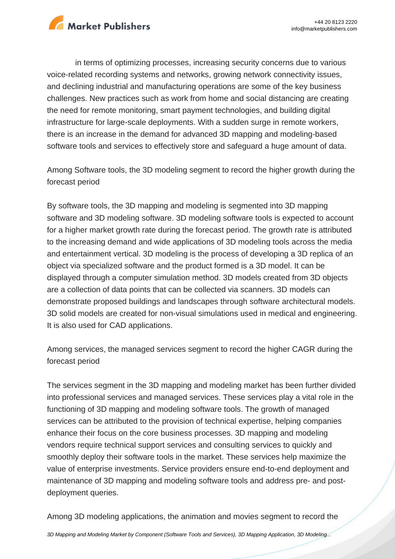

in terms of optimizing processes, increasing security concerns due to various voice-related recording systems and networks, growing network connectivity issues, and declining industrial and manufacturing operations are some of the key business challenges. New practices such as work from home and social distancing are creating the need for remote monitoring, smart payment technologies, and building digital infrastructure for large-scale deployments. With a sudden surge in remote workers, there is an increase in the demand for advanced 3D mapping and modeling-based software tools and services to effectively store and safeguard a huge amount of data.

Among Software tools, the 3D modeling segment to record the higher growth during the forecast period

By software tools, the 3D mapping and modeling is segmented into 3D mapping software and 3D modeling software. 3D modeling software tools is expected to account for a higher market growth rate during the forecast period. The growth rate is attributed to the increasing demand and wide applications of 3D modeling tools across the media and entertainment vertical. 3D modeling is the process of developing a 3D replica of an object via specialized software and the product formed is a 3D model. It can be displayed through a computer simulation method. 3D models created from 3D objects are a collection of data points that can be collected via scanners. 3D models can demonstrate proposed buildings and landscapes through software architectural models. 3D solid models are created for non-visual simulations used in medical and engineering. It is also used for CAD applications.

Among services, the managed services segment to record the higher CAGR during the forecast period

The services segment in the 3D mapping and modeling market has been further divided into professional services and managed services. These services play a vital role in the functioning of 3D mapping and modeling software tools. The growth of managed services can be attributed to the provision of technical expertise, helping companies enhance their focus on the core business processes. 3D mapping and modeling vendors require technical support services and consulting services to quickly and smoothly deploy their software tools in the market. These services help maximize the value of enterprise investments. Service providers ensure end-to-end deployment and maintenance of 3D mapping and modeling software tools and address pre- and postdeployment queries.

Among 3D modeling applications, the animation and movies segment to record the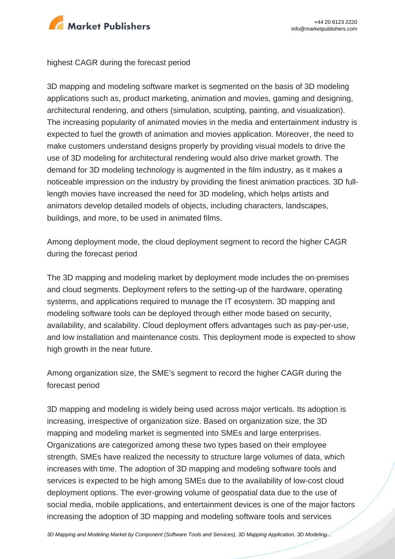

#### highest CAGR during the forecast period

3D mapping and modeling software market is segmented on the basis of 3D modeling applications such as, product marketing, animation and movies, gaming and designing, architectural rendering, and others (simulation, sculpting, painting, and visualization). The increasing popularity of animated movies in the media and entertainment industry is expected to fuel the growth of animation and movies application. Moreover, the need to make customers understand designs properly by providing visual models to drive the use of 3D modeling for architectural rendering would also drive market growth. The demand for 3D modeling technology is augmented in the film industry, as it makes a noticeable impression on the industry by providing the finest animation practices. 3D fulllength movies have increased the need for 3D modeling, which helps artists and animators develop detailed models of objects, including characters, landscapes, buildings, and more, to be used in animated films.

Among deployment mode, the cloud deployment segment to record the higher CAGR during the forecast period

The 3D mapping and modeling market by deployment mode includes the on-premises and cloud segments. Deployment refers to the setting-up of the hardware, operating systems, and applications required to manage the IT ecosystem. 3D mapping and modeling software tools can be deployed through either mode based on security, availability, and scalability. Cloud deployment offers advantages such as pay-per-use, and low installation and maintenance costs. This deployment mode is expected to show high growth in the near future.

Among organization size, the SME's segment to record the higher CAGR during the forecast period

3D mapping and modeling is widely being used across major verticals. Its adoption is increasing, irrespective of organization size. Based on organization size, the 3D mapping and modeling market is segmented into SMEs and large enterprises. Organizations are categorized among these two types based on their employee strength. SMEs have realized the necessity to structure large volumes of data, which increases with time. The adoption of 3D mapping and modeling software tools and services is expected to be high among SMEs due to the availability of low-cost cloud deployment options. The ever-growing volume of geospatial data due to the use of social media, mobile applications, and entertainment devices is one of the major factors increasing the adoption of 3D mapping and modeling software tools and services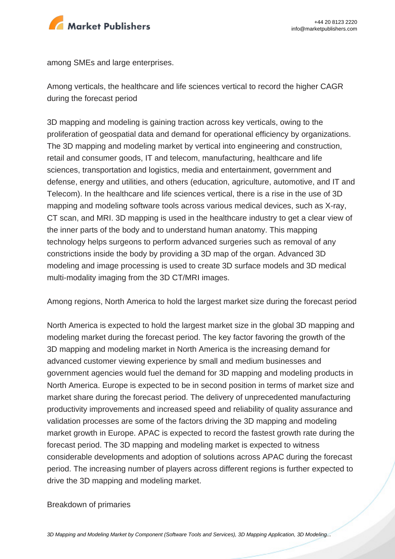

among SMEs and large enterprises.

Among verticals, the healthcare and life sciences vertical to record the higher CAGR during the forecast period

3D mapping and modeling is gaining traction across key verticals, owing to the proliferation of geospatial data and demand for operational efficiency by organizations. The 3D mapping and modeling market by vertical into engineering and construction, retail and consumer goods, IT and telecom, manufacturing, healthcare and life sciences, transportation and logistics, media and entertainment, government and defense, energy and utilities, and others (education, agriculture, automotive, and IT and Telecom). In the healthcare and life sciences vertical, there is a rise in the use of 3D mapping and modeling software tools across various medical devices, such as X-ray, CT scan, and MRI. 3D mapping is used in the healthcare industry to get a clear view of the inner parts of the body and to understand human anatomy. This mapping technology helps surgeons to perform advanced surgeries such as removal of any constrictions inside the body by providing a 3D map of the organ. Advanced 3D modeling and image processing is used to create 3D surface models and 3D medical multi-modality imaging from the 3D CT/MRI images.

Among regions, North America to hold the largest market size during the forecast period

North America is expected to hold the largest market size in the global 3D mapping and modeling market during the forecast period. The key factor favoring the growth of the 3D mapping and modeling market in North America is the increasing demand for advanced customer viewing experience by small and medium businesses and government agencies would fuel the demand for 3D mapping and modeling products in North America. Europe is expected to be in second position in terms of market size and market share during the forecast period. The delivery of unprecedented manufacturing productivity improvements and increased speed and reliability of quality assurance and validation processes are some of the factors driving the 3D mapping and modeling market growth in Europe. APAC is expected to record the fastest growth rate during the forecast period. The 3D mapping and modeling market is expected to witness considerable developments and adoption of solutions across APAC during the forecast period. The increasing number of players across different regions is further expected to drive the 3D mapping and modeling market.

#### Breakdown of primaries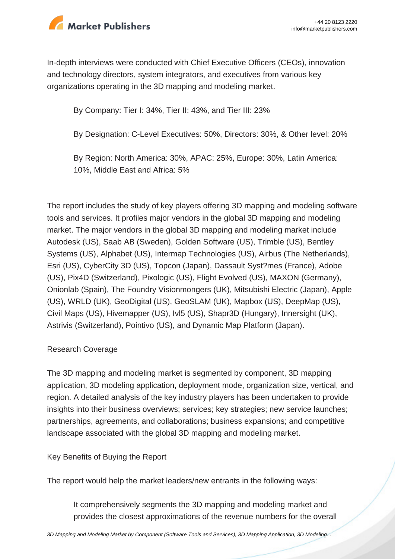

In-depth interviews were conducted with Chief Executive Officers (CEOs), innovation and technology directors, system integrators, and executives from various key organizations operating in the 3D mapping and modeling market.

By Company: Tier I: 34%, Tier II: 43%, and Tier III: 23%

By Designation: C-Level Executives: 50%, Directors: 30%, & Other level: 20%

By Region: North America: 30%, APAC: 25%, Europe: 30%, Latin America: 10%, Middle East and Africa: 5%

The report includes the study of key players offering 3D mapping and modeling software tools and services. It profiles major vendors in the global 3D mapping and modeling market. The major vendors in the global 3D mapping and modeling market include Autodesk (US), Saab AB (Sweden), Golden Software (US), Trimble (US), Bentley Systems (US), Alphabet (US), Intermap Technologies (US), Airbus (The Netherlands), Esri (US), CyberCity 3D (US), Topcon (Japan), Dassault Syst?mes (France), Adobe (US), Pix4D (Switzerland), Pixologic (US), Flight Evolved (US), MAXON (Germany), Onionlab (Spain), The Foundry Visionmongers (UK), Mitsubishi Electric (Japan), Apple (US), WRLD (UK), GeoDigital (US), GeoSLAM (UK), Mapbox (US), DeepMap (US), Civil Maps (US), Hivemapper (US), Ivl5 (US), Shapr3D (Hungary), Innersight (UK), Astrivis (Switzerland), Pointivo (US), and Dynamic Map Platform (Japan).

## Research Coverage

The 3D mapping and modeling market is segmented by component, 3D mapping application, 3D modeling application, deployment mode, organization size, vertical, and region. A detailed analysis of the key industry players has been undertaken to provide insights into their business overviews; services; key strategies; new service launches; partnerships, agreements, and collaborations; business expansions; and competitive landscape associated with the global 3D mapping and modeling market.

Key Benefits of Buying the Report

The report would help the market leaders/new entrants in the following ways:

It comprehensively segments the 3D mapping and modeling market and provides the closest approximations of the revenue numbers for the overall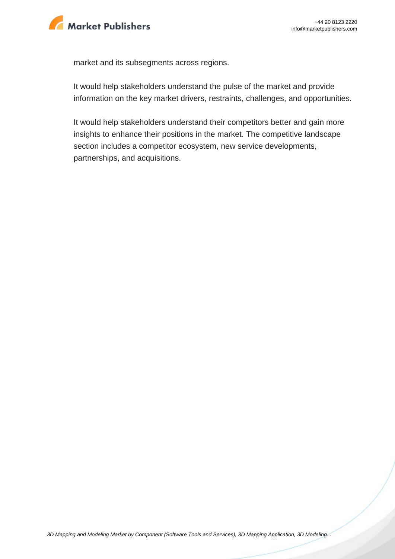

market and its subsegments across regions.

It would help stakeholders understand the pulse of the market and provide information on the key market drivers, restraints, challenges, and opportunities.

It would help stakeholders understand their competitors better and gain more insights to enhance their positions in the market. The competitive landscape section includes a competitor ecosystem, new service developments, partnerships, and acquisitions.

[3D Mapping and Modeling Market by Component \(Software Tools and Services\), 3D Mapping Application, 3D Modeling...](https://marketpublishers.com/report/software/application_software/3d-mapping-3d-modeling-global-advancements-worldwide-market-size-n-forecasts-2013-2018.html)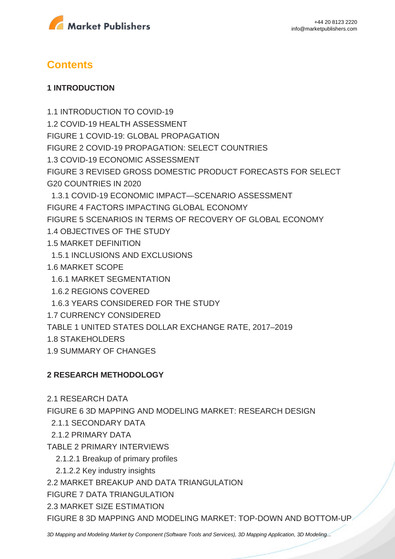



# **Contents**

### **1 INTRODUCTION**

1.1 INTRODUCTION TO COVID-19 1.2 COVID-19 HEALTH ASSESSMENT FIGURE 1 COVID-19: GLOBAL PROPAGATION FIGURE 2 COVID-19 PROPAGATION: SELECT COUNTRIES 1.3 COVID-19 ECONOMIC ASSESSMENT FIGURE 3 REVISED GROSS DOMESTIC PRODUCT FORECASTS FOR SELECT G20 COUNTRIES IN 2020 1.3.1 COVID-19 ECONOMIC IMPACT—SCENARIO ASSESSMENT FIGURE 4 FACTORS IMPACTING GLOBAL ECONOMY FIGURE 5 SCENARIOS IN TERMS OF RECOVERY OF GLOBAL ECONOMY 1.4 OBJECTIVES OF THE STUDY 1.5 MARKET DEFINITION 1.5.1 INCLUSIONS AND EXCLUSIONS 1.6 MARKET SCOPE 1.6.1 MARKET SEGMENTATION 1.6.2 REGIONS COVERED 1.6.3 YEARS CONSIDERED FOR THE STUDY 1.7 CURRENCY CONSIDERED TABLE 1 UNITED STATES DOLLAR EXCHANGE RATE, 2017–2019 1.8 STAKEHOLDERS 1.9 SUMMARY OF CHANGES

### **2 RESEARCH METHODOLOGY**

2.1 RESEARCH DATA

FIGURE 6 3D MAPPING AND MODELING MARKET: RESEARCH DESIGN

- 2.1.1 SECONDARY DATA
- 2.1.2 PRIMARY DATA
- TABLE 2 PRIMARY INTERVIEWS
	- 2.1.2.1 Breakup of primary profiles
	- 2.1.2.2 Key industry insights

2.2 MARKET BREAKUP AND DATA TRIANGULATION

FIGURE 7 DATA TRIANGULATION

2.3 MARKET SIZE ESTIMATION

FIGURE 8 3D MAPPING AND MODELING MARKET: TOP-DOWN AND BOTTOM-UP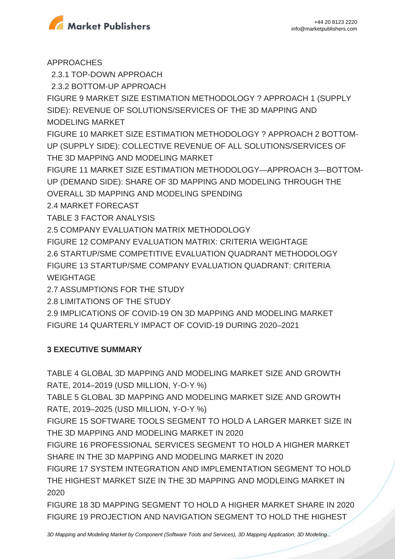

APPROACHES

2.3.1 TOP-DOWN APPROACH

2.3.2 BOTTOM-UP APPROACH

FIGURE 9 MARKET SIZE ESTIMATION METHODOLOGY ? APPROACH 1 (SUPPLY SIDE): REVENUE OF SOLUTIONS/SERVICES OF THE 3D MAPPING AND MODELING MARKET

FIGURE 10 MARKET SIZE ESTIMATION METHODOLOGY ? APPROACH 2 BOTTOM-UP (SUPPLY SIDE): COLLECTIVE REVENUE OF ALL SOLUTIONS/SERVICES OF THE 3D MAPPING AND MODELING MARKET

FIGURE 11 MARKET SIZE ESTIMATION METHODOLOGY—APPROACH 3—BOTTOM-UP (DEMAND SIDE): SHARE OF 3D MAPPING AND MODELING THROUGH THE OVERALL 3D MAPPING AND MODELING SPENDING

2.4 MARKET FORECAST

TABLE 3 FACTOR ANALYSIS

2.5 COMPANY EVALUATION MATRIX METHODOLOGY

FIGURE 12 COMPANY EVALUATION MATRIX: CRITERIA WEIGHTAGE

2.6 STARTUP/SME COMPETITIVE EVALUATION QUADRANT METHODOLOGY

FIGURE 13 STARTUP/SME COMPANY EVALUATION QUADRANT: CRITERIA WEIGHTAGE

2.7 ASSUMPTIONS FOR THE STUDY

2.8 LIMITATIONS OF THE STUDY

2.9 IMPLICATIONS OF COVID-19 ON 3D MAPPING AND MODELING MARKET FIGURE 14 QUARTERLY IMPACT OF COVID-19 DURING 2020–2021

## **3 EXECUTIVE SUMMARY**

TABLE 4 GLOBAL 3D MAPPING AND MODELING MARKET SIZE AND GROWTH RATE, 2014–2019 (USD MILLION, Y-O-Y %)

TABLE 5 GLOBAL 3D MAPPING AND MODELING MARKET SIZE AND GROWTH RATE, 2019–2025 (USD MILLION, Y-O-Y %)

FIGURE 15 SOFTWARE TOOLS SEGMENT TO HOLD A LARGER MARKET SIZE IN THE 3D MAPPING AND MODELING MARKET IN 2020

FIGURE 16 PROFESSIONAL SERVICES SEGMENT TO HOLD A HIGHER MARKET SHARE IN THE 3D MAPPING AND MODELING MARKET IN 2020

FIGURE 17 SYSTEM INTEGRATION AND IMPLEMENTATION SEGMENT TO HOLD THE HIGHEST MARKET SIZE IN THE 3D MAPPING AND MODLEING MARKET IN 2020

FIGURE 18 3D MAPPING SEGMENT TO HOLD A HIGHER MARKET SHARE IN 2020 FIGURE 19 PROJECTION AND NAVIGATION SEGMENT TO HOLD THE HIGHEST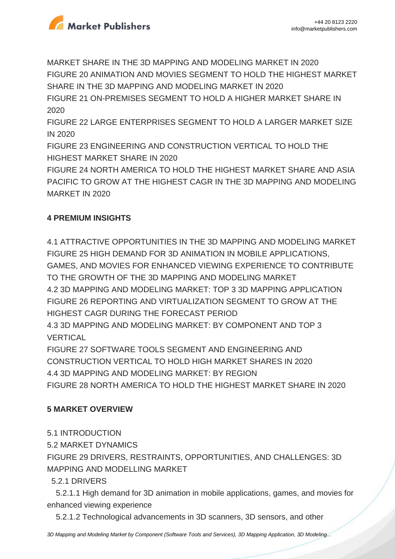

MARKET SHARE IN THE 3D MAPPING AND MODELING MARKET IN 2020 FIGURE 20 ANIMATION AND MOVIES SEGMENT TO HOLD THE HIGHEST MARKET SHARE IN THE 3D MAPPING AND MODELING MARKET IN 2020 FIGURE 21 ON-PREMISES SEGMENT TO HOLD A HIGHER MARKET SHARE IN 2020 FIGURE 22 LARGE ENTERPRISES SEGMENT TO HOLD A LARGER MARKET SIZE IN 2020 FIGURE 23 ENGINEERING AND CONSTRUCTION VERTICAL TO HOLD THE HIGHEST MARKET SHARE IN 2020

FIGURE 24 NORTH AMERICA TO HOLD THE HIGHEST MARKET SHARE AND ASIA PACIFIC TO GROW AT THE HIGHEST CAGR IN THE 3D MAPPING AND MODELING MARKET IN 2020

## **4 PREMIUM INSIGHTS**

4.1 ATTRACTIVE OPPORTUNITIES IN THE 3D MAPPING AND MODELING MARKET FIGURE 25 HIGH DEMAND FOR 3D ANIMATION IN MOBILE APPLICATIONS, GAMES, AND MOVIES FOR ENHANCED VIEWING EXPERIENCE TO CONTRIBUTE TO THE GROWTH OF THE 3D MAPPING AND MODELING MARKET 4.2 3D MAPPING AND MODELING MARKET: TOP 3 3D MAPPING APPLICATION FIGURE 26 REPORTING AND VIRTUALIZATION SEGMENT TO GROW AT THE

HIGHEST CAGR DURING THE FORECAST PERIOD

4.3 3D MAPPING AND MODELING MARKET: BY COMPONENT AND TOP 3 VERTICAL

FIGURE 27 SOFTWARE TOOLS SEGMENT AND ENGINEERING AND CONSTRUCTION VERTICAL TO HOLD HIGH MARKET SHARES IN 2020 4.4 3D MAPPING AND MODELING MARKET: BY REGION FIGURE 28 NORTH AMERICA TO HOLD THE HIGHEST MARKET SHARE IN 2020

## **5 MARKET OVERVIEW**

- 5.1 INTRODUCTION
- 5.2 MARKET DYNAMICS

FIGURE 29 DRIVERS, RESTRAINTS, OPPORTUNITIES, AND CHALLENGES: 3D MAPPING AND MODELLING MARKET

5.2.1 DRIVERS

 5.2.1.1 High demand for 3D animation in mobile applications, games, and movies for enhanced viewing experience

5.2.1.2 Technological advancements in 3D scanners, 3D sensors, and other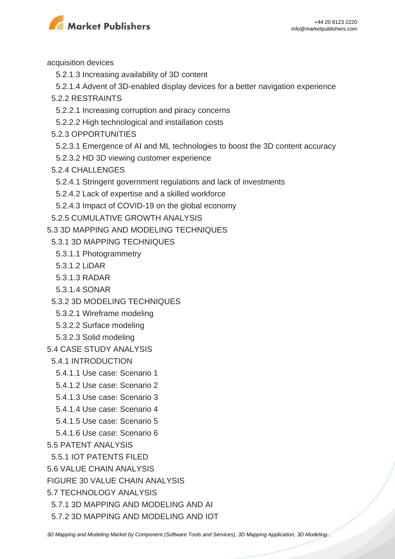

acquisition devices

- 5.2.1.3 Increasing availability of 3D content
- 5.2.1.4 Advent of 3D-enabled display devices for a better navigation experience
- 5.2.2 RESTRAINTS
	- 5.2.2.1 Increasing corruption and piracy concerns
	- 5.2.2.2 High technological and installation costs
- 5.2.3 OPPORTUNITIES
	- 5.2.3.1 Emergence of AI and ML technologies to boost the 3D content accuracy
- 5.2.3.2 HD 3D viewing customer experience
- 5.2.4 CHALLENGES
- 5.2.4.1 Stringent government regulations and lack of investments
- 5.2.4.2 Lack of expertise and a skilled workforce
- 5.2.4.3 Impact of COVID-19 on the global economy
- 5.2.5 CUMULATIVE GROWTH ANALYSIS
- 5.3 3D MAPPING AND MODELING TECHNIQUES
	- 5.3.1 3D MAPPING TECHNIQUES
	- 5.3.1.1 Photogrammetry
	- 5.3.1.2 LiDAR
	- 5.3.1.3 RADAR
	- 5.3.1.4 SONAR
	- 5.3.2 3D MODELING TECHNIQUES
	- 5.3.2.1 Wireframe modeling
	- 5.3.2.2 Surface modeling
	- 5.3.2.3 Solid modeling
- 5.4 CASE STUDY ANALYSIS
- 5.4.1 INTRODUCTION
	- 5.4.1.1 Use case: Scenario 1
	- 5.4.1.2 Use case: Scenario 2
	- 5.4.1.3 Use case: Scenario 3
	- 5.4.1.4 Use case: Scenario 4
- 5.4.1.5 Use case: Scenario 5
- 5.4.1.6 Use case: Scenario 6
- 5.5 PATENT ANALYSIS
- 5.5.1 IOT PATENTS FILED
- 5.6 VALUE CHAIN ANALYSIS
- FIGURE 30 VALUE CHAIN ANALYSIS
- 5.7 TECHNOLOGY ANALYSIS
	- 5.7.1 3D MAPPING AND MODELING AND AI
	- 5.7.2 3D MAPPING AND MODELING AND IOT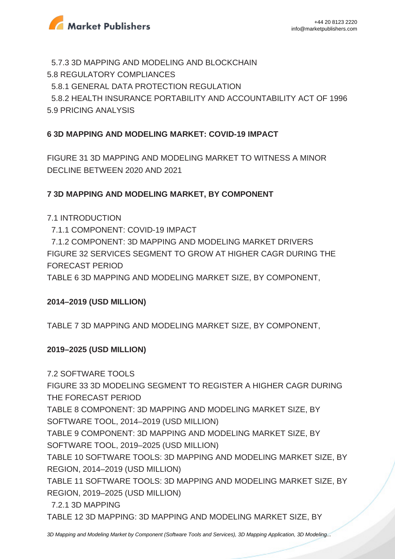

 5.7.3 3D MAPPING AND MODELING AND BLOCKCHAIN 5.8 REGULATORY COMPLIANCES 5.8.1 GENERAL DATA PROTECTION REGULATION 5.8.2 HEALTH INSURANCE PORTABILITY AND ACCOUNTABILITY ACT OF 1996 5.9 PRICING ANALYSIS

## **6 3D MAPPING AND MODELING MARKET: COVID-19 IMPACT**

FIGURE 31 3D MAPPING AND MODELING MARKET TO WITNESS A MINOR DECLINE BETWEEN 2020 AND 2021

### **7 3D MAPPING AND MODELING MARKET, BY COMPONENT**

### 7.1 INTRODUCTION

7.1.1 COMPONENT: COVID-19 IMPACT

 7.1.2 COMPONENT: 3D MAPPING AND MODELING MARKET DRIVERS FIGURE 32 SERVICES SEGMENT TO GROW AT HIGHER CAGR DURING THE FORECAST PERIOD

TABLE 6 3D MAPPING AND MODELING MARKET SIZE, BY COMPONENT,

### **2014–2019 (USD MILLION)**

TABLE 7 3D MAPPING AND MODELING MARKET SIZE, BY COMPONENT,

### **2019–2025 (USD MILLION)**

7.2 SOFTWARE TOOLS FIGURE 33 3D MODELING SEGMENT TO REGISTER A HIGHER CAGR DURING THE FORECAST PERIOD TABLE 8 COMPONENT: 3D MAPPING AND MODELING MARKET SIZE, BY SOFTWARE TOOL, 2014–2019 (USD MILLION) TABLE 9 COMPONENT: 3D MAPPING AND MODELING MARKET SIZE, BY SOFTWARE TOOL, 2019–2025 (USD MILLION) TABLE 10 SOFTWARE TOOLS: 3D MAPPING AND MODELING MARKET SIZE, BY REGION, 2014–2019 (USD MILLION) TABLE 11 SOFTWARE TOOLS: 3D MAPPING AND MODELING MARKET SIZE, BY REGION, 2019–2025 (USD MILLION) 7.2.1 3D MAPPING

TABLE 12 3D MAPPING: 3D MAPPING AND MODELING MARKET SIZE, BY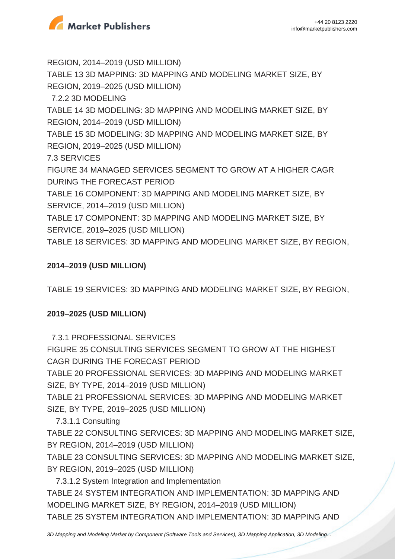

REGION, 2014–2019 (USD MILLION) TABLE 13 3D MAPPING: 3D MAPPING AND MODELING MARKET SIZE, BY REGION, 2019–2025 (USD MILLION) 7.2.2 3D MODELING TABLE 14 3D MODELING: 3D MAPPING AND MODELING MARKET SIZE, BY REGION, 2014–2019 (USD MILLION) TABLE 15 3D MODELING: 3D MAPPING AND MODELING MARKET SIZE, BY REGION, 2019–2025 (USD MILLION) 7.3 SERVICES FIGURE 34 MANAGED SERVICES SEGMENT TO GROW AT A HIGHER CAGR DURING THE FORECAST PERIOD TABLE 16 COMPONENT: 3D MAPPING AND MODELING MARKET SIZE, BY SERVICE, 2014–2019 (USD MILLION) TABLE 17 COMPONENT: 3D MAPPING AND MODELING MARKET SIZE, BY SERVICE, 2019–2025 (USD MILLION) TABLE 18 SERVICES: 3D MAPPING AND MODELING MARKET SIZE, BY REGION,

## **2014–2019 (USD MILLION)**

TABLE 19 SERVICES: 3D MAPPING AND MODELING MARKET SIZE, BY REGION,

## **2019–2025 (USD MILLION)**

7.3.1 PROFESSIONAL SERVICES

FIGURE 35 CONSULTING SERVICES SEGMENT TO GROW AT THE HIGHEST CAGR DURING THE FORECAST PERIOD

TABLE 20 PROFESSIONAL SERVICES: 3D MAPPING AND MODELING MARKET SIZE, BY TYPE, 2014–2019 (USD MILLION)

TABLE 21 PROFESSIONAL SERVICES: 3D MAPPING AND MODELING MARKET SIZE, BY TYPE, 2019–2025 (USD MILLION)

7.3.1.1 Consulting

TABLE 22 CONSULTING SERVICES: 3D MAPPING AND MODELING MARKET SIZE, BY REGION, 2014–2019 (USD MILLION)

TABLE 23 CONSULTING SERVICES: 3D MAPPING AND MODELING MARKET SIZE, BY REGION, 2019–2025 (USD MILLION)

 7.3.1.2 System Integration and Implementation TABLE 24 SYSTEM INTEGRATION AND IMPLEMENTATION: 3D MAPPING AND MODELING MARKET SIZE, BY REGION, 2014–2019 (USD MILLION) TABLE 25 SYSTEM INTEGRATION AND IMPLEMENTATION: 3D MAPPING AND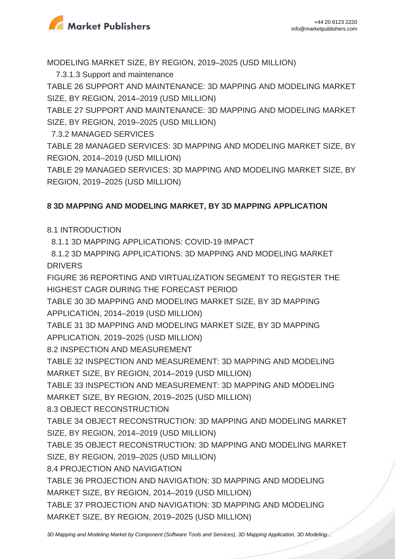

MODELING MARKET SIZE, BY REGION, 2019–2025 (USD MILLION)

7.3.1.3 Support and maintenance

TABLE 26 SUPPORT AND MAINTENANCE: 3D MAPPING AND MODELING MARKET SIZE, BY REGION, 2014–2019 (USD MILLION)

TABLE 27 SUPPORT AND MAINTENANCE: 3D MAPPING AND MODELING MARKET SIZE, BY REGION, 2019–2025 (USD MILLION)

7.3.2 MANAGED SERVICES

TABLE 28 MANAGED SERVICES: 3D MAPPING AND MODELING MARKET SIZE, BY REGION, 2014–2019 (USD MILLION)

TABLE 29 MANAGED SERVICES: 3D MAPPING AND MODELING MARKET SIZE, BY REGION, 2019–2025 (USD MILLION)

## **8 3D MAPPING AND MODELING MARKET, BY 3D MAPPING APPLICATION**

8.1 INTRODUCTION

8.1.1 3D MAPPING APPLICATIONS: COVID-19 IMPACT

 8.1.2 3D MAPPING APPLICATIONS: 3D MAPPING AND MODELING MARKET DRIVERS

FIGURE 36 REPORTING AND VIRTUALIZATION SEGMENT TO REGISTER THE HIGHEST CAGR DURING THE FORECAST PERIOD

TABLE 30 3D MAPPING AND MODELING MARKET SIZE, BY 3D MAPPING APPLICATION, 2014–2019 (USD MILLION)

TABLE 31 3D MAPPING AND MODELING MARKET SIZE, BY 3D MAPPING APPLICATION, 2019–2025 (USD MILLION)

8.2 INSPECTION AND MEASUREMENT

TABLE 32 INSPECTION AND MEASUREMENT: 3D MAPPING AND MODELING MARKET SIZE, BY REGION, 2014–2019 (USD MILLION)

TABLE 33 INSPECTION AND MEASUREMENT: 3D MAPPING AND MODELING MARKET SIZE, BY REGION, 2019–2025 (USD MILLION)

8.3 OBJECT RECONSTRUCTION

TABLE 34 OBJECT RECONSTRUCTION: 3D MAPPING AND MODELING MARKET SIZE, BY REGION, 2014–2019 (USD MILLION)

TABLE 35 OBJECT RECONSTRUCTION: 3D MAPPING AND MODELING MARKET SIZE, BY REGION, 2019–2025 (USD MILLION)

8.4 PROJECTION AND NAVIGATION

TABLE 36 PROJECTION AND NAVIGATION: 3D MAPPING AND MODELING MARKET SIZE, BY REGION, 2014–2019 (USD MILLION)

TABLE 37 PROJECTION AND NAVIGATION: 3D MAPPING AND MODELING MARKET SIZE, BY REGION, 2019–2025 (USD MILLION)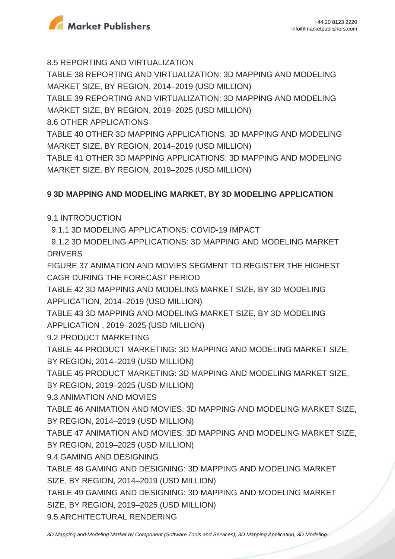

8.5 REPORTING AND VIRTUALIZATION

TABLE 38 REPORTING AND VIRTUALIZATION: 3D MAPPING AND MODELING MARKET SIZE, BY REGION, 2014–2019 (USD MILLION)

TABLE 39 REPORTING AND VIRTUALIZATION: 3D MAPPING AND MODELING MARKET SIZE, BY REGION, 2019–2025 (USD MILLION)

8.6 OTHER APPLICATIONS

TABLE 40 OTHER 3D MAPPING APPLICATIONS: 3D MAPPING AND MODELING MARKET SIZE, BY REGION, 2014–2019 (USD MILLION)

TABLE 41 OTHER 3D MAPPING APPLICATIONS: 3D MAPPING AND MODELING MARKET SIZE, BY REGION, 2019–2025 (USD MILLION)

## **9 3D MAPPING AND MODELING MARKET, BY 3D MODELING APPLICATION**

9.1 INTRODUCTION

9.1.1 3D MODELING APPLICATIONS: COVID-19 IMPACT

 9.1.2 3D MODELING APPLICATIONS: 3D MAPPING AND MODELING MARKET **DRIVERS** 

FIGURE 37 ANIMATION AND MOVIES SEGMENT TO REGISTER THE HIGHEST CAGR DURING THE FORECAST PERIOD

TABLE 42 3D MAPPING AND MODELING MARKET SIZE, BY 3D MODELING APPLICATION, 2014–2019 (USD MILLION)

TABLE 43 3D MAPPING AND MODELING MARKET SIZE, BY 3D MODELING APPLICATION , 2019–2025 (USD MILLION)

9.2 PRODUCT MARKETING

TABLE 44 PRODUCT MARKETING: 3D MAPPING AND MODELING MARKET SIZE, BY REGION, 2014–2019 (USD MILLION)

TABLE 45 PRODUCT MARKETING: 3D MAPPING AND MODELING MARKET SIZE, BY REGION, 2019–2025 (USD MILLION)

9.3 ANIMATION AND MOVIES

TABLE 46 ANIMATION AND MOVIES: 3D MAPPING AND MODELING MARKET SIZE, BY REGION, 2014–2019 (USD MILLION)

TABLE 47 ANIMATION AND MOVIES: 3D MAPPING AND MODELING MARKET SIZE, BY REGION, 2019–2025 (USD MILLION)

9.4 GAMING AND DESIGNING

TABLE 48 GAMING AND DESIGNING: 3D MAPPING AND MODELING MARKET SIZE, BY REGION, 2014–2019 (USD MILLION)

TABLE 49 GAMING AND DESIGNING: 3D MAPPING AND MODELING MARKET SIZE, BY REGION, 2019–2025 (USD MILLION)

9.5 ARCHITECTURAL RENDERING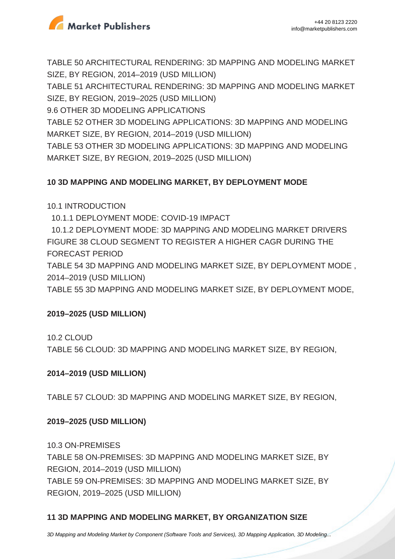

TABLE 50 ARCHITECTURAL RENDERING: 3D MAPPING AND MODELING MARKET SIZE, BY REGION, 2014–2019 (USD MILLION)

TABLE 51 ARCHITECTURAL RENDERING: 3D MAPPING AND MODELING MARKET SIZE, BY REGION, 2019–2025 (USD MILLION)

9.6 OTHER 3D MODELING APPLICATIONS

TABLE 52 OTHER 3D MODELING APPLICATIONS: 3D MAPPING AND MODELING MARKET SIZE, BY REGION, 2014–2019 (USD MILLION)

TABLE 53 OTHER 3D MODELING APPLICATIONS: 3D MAPPING AND MODELING MARKET SIZE, BY REGION, 2019–2025 (USD MILLION)

## **10 3D MAPPING AND MODELING MARKET, BY DEPLOYMENT MODE**

10.1 INTRODUCTION

10.1.1 DEPLOYMENT MODE: COVID-19 IMPACT

 10.1.2 DEPLOYMENT MODE: 3D MAPPING AND MODELING MARKET DRIVERS FIGURE 38 CLOUD SEGMENT TO REGISTER A HIGHER CAGR DURING THE FORECAST PERIOD

TABLE 54 3D MAPPING AND MODELING MARKET SIZE, BY DEPLOYMENT MODE , 2014–2019 (USD MILLION)

TABLE 55 3D MAPPING AND MODELING MARKET SIZE, BY DEPLOYMENT MODE,

## **2019–2025 (USD MILLION)**

10.2 CLOUD

TABLE 56 CLOUD: 3D MAPPING AND MODELING MARKET SIZE, BY REGION,

## **2014–2019 (USD MILLION)**

TABLE 57 CLOUD: 3D MAPPING AND MODELING MARKET SIZE, BY REGION,

## **2019–2025 (USD MILLION)**

10.3 ON-PREMISES TABLE 58 ON-PREMISES: 3D MAPPING AND MODELING MARKET SIZE, BY REGION, 2014–2019 (USD MILLION) TABLE 59 ON-PREMISES: 3D MAPPING AND MODELING MARKET SIZE, BY REGION, 2019–2025 (USD MILLION)

## **11 3D MAPPING AND MODELING MARKET, BY ORGANIZATION SIZE**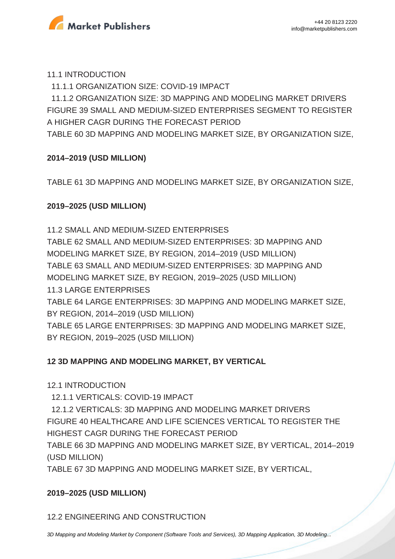

#### 11.1 INTRODUCTION

11.1.1 ORGANIZATION SIZE: COVID-19 IMPACT

 11.1.2 ORGANIZATION SIZE: 3D MAPPING AND MODELING MARKET DRIVERS FIGURE 39 SMALL AND MEDIUM-SIZED ENTERPRISES SEGMENT TO REGISTER A HIGHER CAGR DURING THE FORECAST PERIOD

TABLE 60 3D MAPPING AND MODELING MARKET SIZE, BY ORGANIZATION SIZE,

## **2014–2019 (USD MILLION)**

TABLE 61 3D MAPPING AND MODELING MARKET SIZE, BY ORGANIZATION SIZE,

## **2019–2025 (USD MILLION)**

11.2 SMALL AND MEDIUM-SIZED ENTERPRISES TABLE 62 SMALL AND MEDIUM-SIZED ENTERPRISES: 3D MAPPING AND MODELING MARKET SIZE, BY REGION, 2014–2019 (USD MILLION) TABLE 63 SMALL AND MEDIUM-SIZED ENTERPRISES: 3D MAPPING AND MODELING MARKET SIZE, BY REGION, 2019–2025 (USD MILLION) 11.3 LARGE ENTERPRISES TABLE 64 LARGE ENTERPRISES: 3D MAPPING AND MODELING MARKET SIZE, BY REGION, 2014–2019 (USD MILLION) TABLE 65 LARGE ENTERPRISES: 3D MAPPING AND MODELING MARKET SIZE, BY REGION, 2019–2025 (USD MILLION)

## **12 3D MAPPING AND MODELING MARKET, BY VERTICAL**

### 12.1 INTRODUCTION

12.1.1 VERTICALS: COVID-19 IMPACT

 12.1.2 VERTICALS: 3D MAPPING AND MODELING MARKET DRIVERS FIGURE 40 HEALTHCARE AND LIFE SCIENCES VERTICAL TO REGISTER THE HIGHEST CAGR DURING THE FORECAST PERIOD

TABLE 66 3D MAPPING AND MODELING MARKET SIZE, BY VERTICAL, 2014–2019 (USD MILLION)

TABLE 67 3D MAPPING AND MODELING MARKET SIZE, BY VERTICAL,

## **2019–2025 (USD MILLION)**

12.2 ENGINEERING AND CONSTRUCTION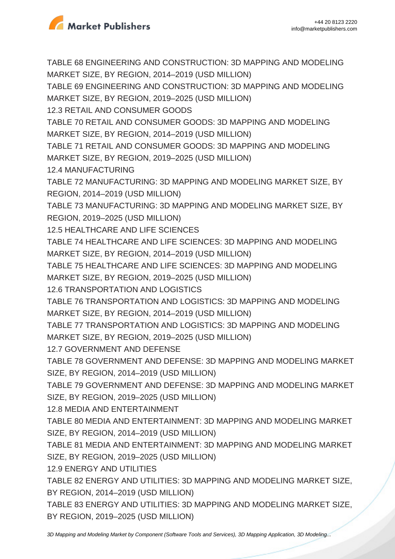

TABLE 68 ENGINEERING AND CONSTRUCTION: 3D MAPPING AND MODELING MARKET SIZE, BY REGION, 2014–2019 (USD MILLION) TABLE 69 ENGINEERING AND CONSTRUCTION: 3D MAPPING AND MODELING MARKET SIZE, BY REGION, 2019–2025 (USD MILLION) 12.3 RETAIL AND CONSUMER GOODS TABLE 70 RETAIL AND CONSUMER GOODS: 3D MAPPING AND MODELING MARKET SIZE, BY REGION, 2014–2019 (USD MILLION) TABLE 71 RETAIL AND CONSUMER GOODS: 3D MAPPING AND MODELING MARKET SIZE, BY REGION, 2019–2025 (USD MILLION) 12.4 MANUFACTURING TABLE 72 MANUFACTURING: 3D MAPPING AND MODELING MARKET SIZE, BY REGION, 2014–2019 (USD MILLION) TABLE 73 MANUFACTURING: 3D MAPPING AND MODELING MARKET SIZE, BY REGION, 2019–2025 (USD MILLION) 12.5 HEALTHCARE AND LIFE SCIENCES TABLE 74 HEALTHCARE AND LIFE SCIENCES: 3D MAPPING AND MODELING MARKET SIZE, BY REGION, 2014–2019 (USD MILLION) TABLE 75 HEALTHCARE AND LIFE SCIENCES: 3D MAPPING AND MODELING MARKET SIZE, BY REGION, 2019–2025 (USD MILLION) 12.6 TRANSPORTATION AND LOGISTICS TABLE 76 TRANSPORTATION AND LOGISTICS: 3D MAPPING AND MODELING MARKET SIZE, BY REGION, 2014–2019 (USD MILLION) TABLE 77 TRANSPORTATION AND LOGISTICS: 3D MAPPING AND MODELING MARKET SIZE, BY REGION, 2019–2025 (USD MILLION) 12.7 GOVERNMENT AND DEFENSE TABLE 78 GOVERNMENT AND DEFENSE: 3D MAPPING AND MODELING MARKET SIZE, BY REGION, 2014–2019 (USD MILLION) TABLE 79 GOVERNMENT AND DEFENSE: 3D MAPPING AND MODELING MARKET SIZE, BY REGION, 2019–2025 (USD MILLION) 12.8 MEDIA AND ENTERTAINMENT TABLE 80 MEDIA AND ENTERTAINMENT: 3D MAPPING AND MODELING MARKET SIZE, BY REGION, 2014–2019 (USD MILLION) TABLE 81 MEDIA AND ENTERTAINMENT: 3D MAPPING AND MODELING MARKET SIZE, BY REGION, 2019–2025 (USD MILLION) 12.9 ENERGY AND UTILITIES TABLE 82 ENERGY AND UTILITIES: 3D MAPPING AND MODELING MARKET SIZE, BY REGION, 2014–2019 (USD MILLION) TABLE 83 ENERGY AND UTILITIES: 3D MAPPING AND MODELING MARKET SIZE, BY REGION, 2019–2025 (USD MILLION)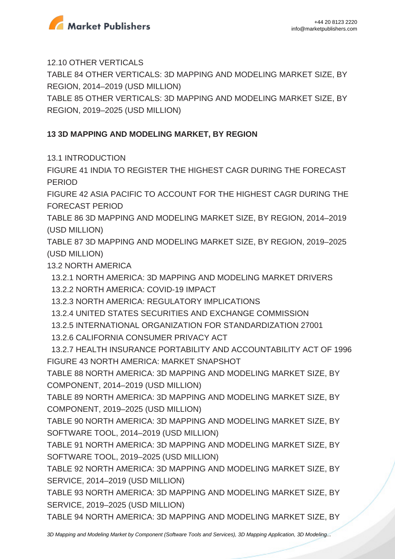

12.10 OTHER VERTICALS

TABLE 84 OTHER VERTICALS: 3D MAPPING AND MODELING MARKET SIZE, BY REGION, 2014–2019 (USD MILLION)

TABLE 85 OTHER VERTICALS: 3D MAPPING AND MODELING MARKET SIZE, BY REGION, 2019–2025 (USD MILLION)

## **13 3D MAPPING AND MODELING MARKET, BY REGION**

13.1 INTRODUCTION

FIGURE 41 INDIA TO REGISTER THE HIGHEST CAGR DURING THE FORECAST PERIOD

FIGURE 42 ASIA PACIFIC TO ACCOUNT FOR THE HIGHEST CAGR DURING THE FORECAST PERIOD

TABLE 86 3D MAPPING AND MODELING MARKET SIZE, BY REGION, 2014–2019 (USD MILLION)

TABLE 87 3D MAPPING AND MODELING MARKET SIZE, BY REGION, 2019–2025 (USD MILLION)

13.2 NORTH AMERICA

13.2.1 NORTH AMERICA: 3D MAPPING AND MODELING MARKET DRIVERS

13.2.2 NORTH AMERICA: COVID-19 IMPACT

13.2.3 NORTH AMERICA: REGULATORY IMPLICATIONS

- 13.2.4 UNITED STATES SECURITIES AND EXCHANGE COMMISSION
- 13.2.5 INTERNATIONAL ORGANIZATION FOR STANDARDIZATION 27001
- 13.2.6 CALIFORNIA CONSUMER PRIVACY ACT

 13.2.7 HEALTH INSURANCE PORTABILITY AND ACCOUNTABILITY ACT OF 1996 FIGURE 43 NORTH AMERICA: MARKET SNAPSHOT

TABLE 88 NORTH AMERICA: 3D MAPPING AND MODELING MARKET SIZE, BY COMPONENT, 2014–2019 (USD MILLION)

TABLE 89 NORTH AMERICA: 3D MAPPING AND MODELING MARKET SIZE, BY COMPONENT, 2019–2025 (USD MILLION)

TABLE 90 NORTH AMERICA: 3D MAPPING AND MODELING MARKET SIZE, BY SOFTWARE TOOL, 2014–2019 (USD MILLION)

TABLE 91 NORTH AMERICA: 3D MAPPING AND MODELING MARKET SIZE, BY SOFTWARE TOOL, 2019–2025 (USD MILLION)

TABLE 92 NORTH AMERICA: 3D MAPPING AND MODELING MARKET SIZE, BY SERVICE, 2014–2019 (USD MILLION)

TABLE 93 NORTH AMERICA: 3D MAPPING AND MODELING MARKET SIZE, BY SERVICE, 2019–2025 (USD MILLION)

TABLE 94 NORTH AMERICA: 3D MAPPING AND MODELING MARKET SIZE, BY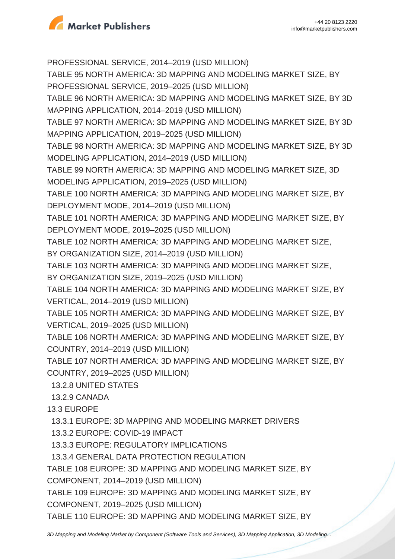

PROFESSIONAL SERVICE, 2014–2019 (USD MILLION) TABLE 95 NORTH AMERICA: 3D MAPPING AND MODELING MARKET SIZE, BY PROFESSIONAL SERVICE, 2019–2025 (USD MILLION) TABLE 96 NORTH AMERICA: 3D MAPPING AND MODELING MARKET SIZE, BY 3D MAPPING APPLICATION, 2014–2019 (USD MILLION) TABLE 97 NORTH AMERICA: 3D MAPPING AND MODELING MARKET SIZE, BY 3D MAPPING APPLICATION, 2019–2025 (USD MILLION) TABLE 98 NORTH AMERICA: 3D MAPPING AND MODELING MARKET SIZE, BY 3D MODELING APPLICATION, 2014–2019 (USD MILLION) TABLE 99 NORTH AMERICA: 3D MAPPING AND MODELING MARKET SIZE, 3D MODELING APPLICATION, 2019–2025 (USD MILLION) TABLE 100 NORTH AMERICA: 3D MAPPING AND MODELING MARKET SIZE, BY DEPLOYMENT MODE, 2014–2019 (USD MILLION) TABLE 101 NORTH AMERICA: 3D MAPPING AND MODELING MARKET SIZE, BY DEPLOYMENT MODE, 2019–2025 (USD MILLION) TABLE 102 NORTH AMERICA: 3D MAPPING AND MODELING MARKET SIZE, BY ORGANIZATION SIZE, 2014–2019 (USD MILLION) TABLE 103 NORTH AMERICA: 3D MAPPING AND MODELING MARKET SIZE, BY ORGANIZATION SIZE, 2019–2025 (USD MILLION) TABLE 104 NORTH AMERICA: 3D MAPPING AND MODELING MARKET SIZE, BY VERTICAL, 2014–2019 (USD MILLION) TABLE 105 NORTH AMERICA: 3D MAPPING AND MODELING MARKET SIZE, BY VERTICAL, 2019–2025 (USD MILLION) TABLE 106 NORTH AMERICA: 3D MAPPING AND MODELING MARKET SIZE, BY COUNTRY, 2014–2019 (USD MILLION) TABLE 107 NORTH AMERICA: 3D MAPPING AND MODELING MARKET SIZE, BY COUNTRY, 2019–2025 (USD MILLION) 13.2.8 UNITED STATES 13.2.9 CANADA 13.3 EUROPE 13.3.1 EUROPE: 3D MAPPING AND MODELING MARKET DRIVERS 13.3.2 EUROPE: COVID-19 IMPACT 13.3.3 EUROPE: REGULATORY IMPLICATIONS 13.3.4 GENERAL DATA PROTECTION REGULATION TABLE 108 EUROPE: 3D MAPPING AND MODELING MARKET SIZE, BY COMPONENT, 2014–2019 (USD MILLION) TABLE 109 EUROPE: 3D MAPPING AND MODELING MARKET SIZE, BY COMPONENT, 2019–2025 (USD MILLION)

TABLE 110 EUROPE: 3D MAPPING AND MODELING MARKET SIZE, BY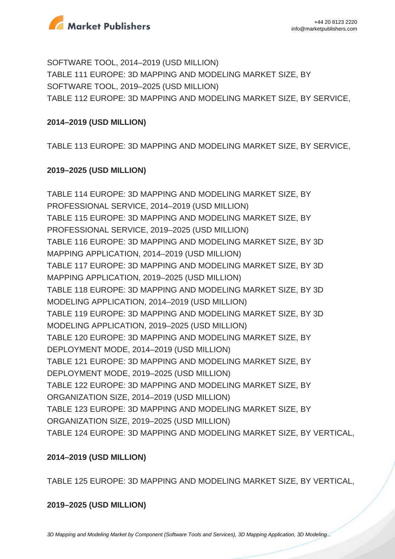

SOFTWARE TOOL, 2014–2019 (USD MILLION) TABLE 111 EUROPE: 3D MAPPING AND MODELING MARKET SIZE, BY SOFTWARE TOOL, 2019–2025 (USD MILLION) TABLE 112 EUROPE: 3D MAPPING AND MODELING MARKET SIZE, BY SERVICE,

### **2014–2019 (USD MILLION)**

TABLE 113 EUROPE: 3D MAPPING AND MODELING MARKET SIZE, BY SERVICE,

### **2019–2025 (USD MILLION)**

TABLE 114 EUROPE: 3D MAPPING AND MODELING MARKET SIZE, BY PROFESSIONAL SERVICE, 2014–2019 (USD MILLION) TABLE 115 EUROPE: 3D MAPPING AND MODELING MARKET SIZE, BY PROFESSIONAL SERVICE, 2019–2025 (USD MILLION) TABLE 116 EUROPE: 3D MAPPING AND MODELING MARKET SIZE, BY 3D MAPPING APPLICATION, 2014–2019 (USD MILLION) TABLE 117 EUROPE: 3D MAPPING AND MODELING MARKET SIZE, BY 3D MAPPING APPLICATION, 2019–2025 (USD MILLION) TABLE 118 EUROPE: 3D MAPPING AND MODELING MARKET SIZE, BY 3D MODELING APPLICATION, 2014–2019 (USD MILLION) TABLE 119 EUROPE: 3D MAPPING AND MODELING MARKET SIZE, BY 3D MODELING APPLICATION, 2019–2025 (USD MILLION) TABLE 120 EUROPE: 3D MAPPING AND MODELING MARKET SIZE, BY DEPLOYMENT MODE, 2014–2019 (USD MILLION) TABLE 121 EUROPE: 3D MAPPING AND MODELING MARKET SIZE, BY DEPLOYMENT MODE, 2019–2025 (USD MILLION) TABLE 122 EUROPE: 3D MAPPING AND MODELING MARKET SIZE, BY ORGANIZATION SIZE, 2014–2019 (USD MILLION) TABLE 123 EUROPE: 3D MAPPING AND MODELING MARKET SIZE, BY ORGANIZATION SIZE, 2019–2025 (USD MILLION) TABLE 124 EUROPE: 3D MAPPING AND MODELING MARKET SIZE, BY VERTICAL,

### **2014–2019 (USD MILLION)**

TABLE 125 EUROPE: 3D MAPPING AND MODELING MARKET SIZE, BY VERTICAL,

**2019–2025 (USD MILLION)**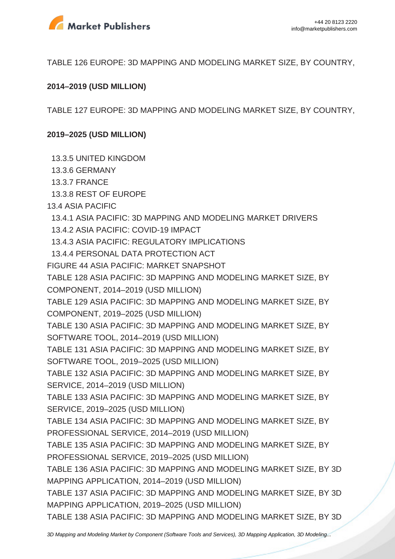

TABLE 126 EUROPE: 3D MAPPING AND MODELING MARKET SIZE, BY COUNTRY,

#### **2014–2019 (USD MILLION)**

TABLE 127 EUROPE: 3D MAPPING AND MODELING MARKET SIZE, BY COUNTRY,

#### **2019–2025 (USD MILLION)**

13.3.5 UNITED KINGDOM

- 13.3.6 GERMANY
- 13.3.7 FRANCE
- 13.3.8 REST OF EUROPE
- 13.4 ASIA PACIFIC
- 13.4.1 ASIA PACIFIC: 3D MAPPING AND MODELING MARKET DRIVERS
- 13.4.2 ASIA PACIFIC: COVID-19 IMPACT
- 13.4.3 ASIA PACIFIC: REGULATORY IMPLICATIONS
- 13.4.4 PERSONAL DATA PROTECTION ACT
- FIGURE 44 ASIA PACIFIC: MARKET SNAPSHOT
- TABLE 128 ASIA PACIFIC: 3D MAPPING AND MODELING MARKET SIZE, BY COMPONENT, 2014–2019 (USD MILLION)
- TABLE 129 ASIA PACIFIC: 3D MAPPING AND MODELING MARKET SIZE, BY COMPONENT, 2019–2025 (USD MILLION)
- TABLE 130 ASIA PACIFIC: 3D MAPPING AND MODELING MARKET SIZE, BY SOFTWARE TOOL, 2014–2019 (USD MILLION)
- TABLE 131 ASIA PACIFIC: 3D MAPPING AND MODELING MARKET SIZE, BY SOFTWARE TOOL, 2019–2025 (USD MILLION)
- TABLE 132 ASIA PACIFIC: 3D MAPPING AND MODELING MARKET SIZE, BY SERVICE, 2014–2019 (USD MILLION)
- TABLE 133 ASIA PACIFIC: 3D MAPPING AND MODELING MARKET SIZE, BY SERVICE, 2019–2025 (USD MILLION)
- TABLE 134 ASIA PACIFIC: 3D MAPPING AND MODELING MARKET SIZE, BY PROFESSIONAL SERVICE, 2014–2019 (USD MILLION)
- TABLE 135 ASIA PACIFIC: 3D MAPPING AND MODELING MARKET SIZE, BY PROFESSIONAL SERVICE, 2019–2025 (USD MILLION)
- TABLE 136 ASIA PACIFIC: 3D MAPPING AND MODELING MARKET SIZE, BY 3D MAPPING APPLICATION, 2014–2019 (USD MILLION)
- TABLE 137 ASIA PACIFIC: 3D MAPPING AND MODELING MARKET SIZE, BY 3D MAPPING APPLICATION, 2019–2025 (USD MILLION)
- TABLE 138 ASIA PACIFIC: 3D MAPPING AND MODELING MARKET SIZE, BY 3D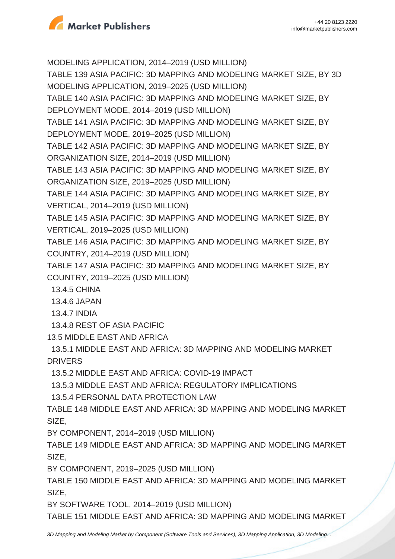

MODELING APPLICATION, 2014–2019 (USD MILLION)

TABLE 139 ASIA PACIFIC: 3D MAPPING AND MODELING MARKET SIZE, BY 3D MODELING APPLICATION, 2019–2025 (USD MILLION)

TABLE 140 ASIA PACIFIC: 3D MAPPING AND MODELING MARKET SIZE, BY DEPLOYMENT MODE, 2014–2019 (USD MILLION)

TABLE 141 ASIA PACIFIC: 3D MAPPING AND MODELING MARKET SIZE, BY DEPLOYMENT MODE, 2019–2025 (USD MILLION)

TABLE 142 ASIA PACIFIC: 3D MAPPING AND MODELING MARKET SIZE, BY ORGANIZATION SIZE, 2014–2019 (USD MILLION)

TABLE 143 ASIA PACIFIC: 3D MAPPING AND MODELING MARKET SIZE, BY ORGANIZATION SIZE, 2019–2025 (USD MILLION)

TABLE 144 ASIA PACIFIC: 3D MAPPING AND MODELING MARKET SIZE, BY VERTICAL, 2014–2019 (USD MILLION)

TABLE 145 ASIA PACIFIC: 3D MAPPING AND MODELING MARKET SIZE, BY VERTICAL, 2019–2025 (USD MILLION)

TABLE 146 ASIA PACIFIC: 3D MAPPING AND MODELING MARKET SIZE, BY COUNTRY, 2014–2019 (USD MILLION)

TABLE 147 ASIA PACIFIC: 3D MAPPING AND MODELING MARKET SIZE, BY COUNTRY, 2019–2025 (USD MILLION)

13.4.5 CHINA

13.4.6 JAPAN

13.4.7 INDIA

13.4.8 REST OF ASIA PACIFIC

13.5 MIDDLE EAST AND AFRICA

 13.5.1 MIDDLE EAST AND AFRICA: 3D MAPPING AND MODELING MARKET DRIVERS

13.5.2 MIDDLE EAST AND AFRICA: COVID-19 IMPACT

13.5.3 MIDDLE EAST AND AFRICA: REGULATORY IMPLICATIONS

13.5.4 PERSONAL DATA PROTECTION LAW

TABLE 148 MIDDLE EAST AND AFRICA: 3D MAPPING AND MODELING MARKET SIZE,

BY COMPONENT, 2014–2019 (USD MILLION)

TABLE 149 MIDDLE EAST AND AFRICA: 3D MAPPING AND MODELING MARKET SIZE,

BY COMPONENT, 2019–2025 (USD MILLION)

TABLE 150 MIDDLE EAST AND AFRICA: 3D MAPPING AND MODELING MARKET SIZE,

BY SOFTWARE TOOL, 2014–2019 (USD MILLION)

TABLE 151 MIDDLE EAST AND AFRICA: 3D MAPPING AND MODELING MARKET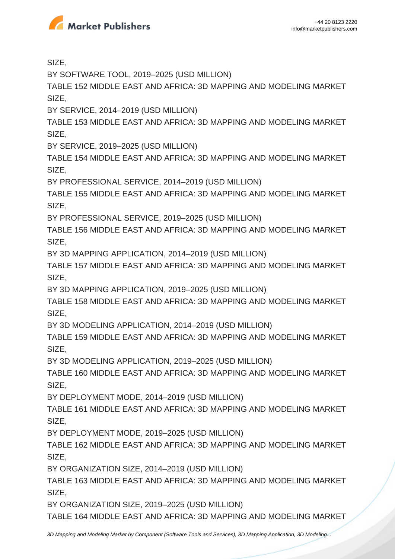

SIZE,

BY SOFTWARE TOOL, 2019–2025 (USD MILLION)

TABLE 152 MIDDLE EAST AND AFRICA: 3D MAPPING AND MODELING MARKET SIZE,

BY SERVICE, 2014–2019 (USD MILLION)

TABLE 153 MIDDLE EAST AND AFRICA: 3D MAPPING AND MODELING MARKET SIZE,

BY SERVICE, 2019–2025 (USD MILLION)

TABLE 154 MIDDLE EAST AND AFRICA: 3D MAPPING AND MODELING MARKET SIZE,

BY PROFESSIONAL SERVICE, 2014–2019 (USD MILLION)

TABLE 155 MIDDLE EAST AND AFRICA: 3D MAPPING AND MODELING MARKET SIZE,

BY PROFESSIONAL SERVICE, 2019–2025 (USD MILLION)

TABLE 156 MIDDLE EAST AND AFRICA: 3D MAPPING AND MODELING MARKET SIZE,

BY 3D MAPPING APPLICATION, 2014–2019 (USD MILLION)

TABLE 157 MIDDLE EAST AND AFRICA: 3D MAPPING AND MODELING MARKET SIZE,

BY 3D MAPPING APPLICATION, 2019–2025 (USD MILLION)

TABLE 158 MIDDLE EAST AND AFRICA: 3D MAPPING AND MODELING MARKET SIZE,

BY 3D MODELING APPLICATION, 2014–2019 (USD MILLION)

TABLE 159 MIDDLE EAST AND AFRICA: 3D MAPPING AND MODELING MARKET SIZE,

BY 3D MODELING APPLICATION, 2019–2025 (USD MILLION)

TABLE 160 MIDDLE EAST AND AFRICA: 3D MAPPING AND MODELING MARKET SIZE,

BY DEPLOYMENT MODE, 2014–2019 (USD MILLION)

TABLE 161 MIDDLE EAST AND AFRICA: 3D MAPPING AND MODELING MARKET SIZE,

BY DEPLOYMENT MODE, 2019–2025 (USD MILLION)

TABLE 162 MIDDLE EAST AND AFRICA: 3D MAPPING AND MODELING MARKET SIZE,

BY ORGANIZATION SIZE, 2014–2019 (USD MILLION)

TABLE 163 MIDDLE EAST AND AFRICA: 3D MAPPING AND MODELING MARKET SIZE,

BY ORGANIZATION SIZE, 2019–2025 (USD MILLION)

TABLE 164 MIDDLE EAST AND AFRICA: 3D MAPPING AND MODELING MARKET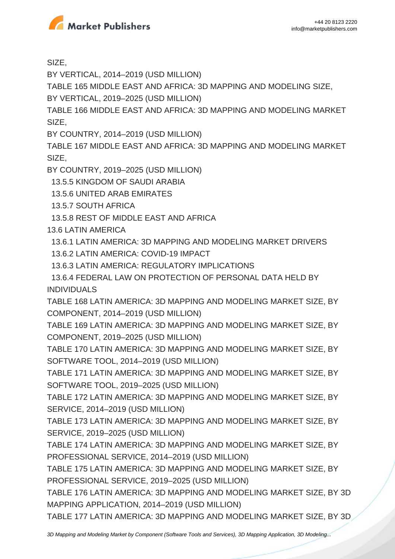

SIZE,

BY VERTICAL, 2014–2019 (USD MILLION)

TABLE 165 MIDDLE EAST AND AFRICA: 3D MAPPING AND MODELING SIZE,

BY VERTICAL, 2019–2025 (USD MILLION)

TABLE 166 MIDDLE EAST AND AFRICA: 3D MAPPING AND MODELING MARKET SIZE,

BY COUNTRY, 2014–2019 (USD MILLION)

TABLE 167 MIDDLE EAST AND AFRICA: 3D MAPPING AND MODELING MARKET SIZE,

BY COUNTRY, 2019–2025 (USD MILLION)

13.5.5 KINGDOM OF SAUDI ARABIA

13.5.6 UNITED ARAB EMIRATES

13.5.7 SOUTH AFRICA

13.5.8 REST OF MIDDLE EAST AND AFRICA

13.6 LATIN AMERICA

13.6.1 LATIN AMERICA: 3D MAPPING AND MODELING MARKET DRIVERS

13.6.2 LATIN AMERICA: COVID-19 IMPACT

13.6.3 LATIN AMERICA: REGULATORY IMPLICATIONS

 13.6.4 FEDERAL LAW ON PROTECTION OF PERSONAL DATA HELD BY INDIVIDUALS

TABLE 168 LATIN AMERICA: 3D MAPPING AND MODELING MARKET SIZE, BY COMPONENT, 2014–2019 (USD MILLION)

TABLE 169 LATIN AMERICA: 3D MAPPING AND MODELING MARKET SIZE, BY COMPONENT, 2019–2025 (USD MILLION)

TABLE 170 LATIN AMERICA: 3D MAPPING AND MODELING MARKET SIZE, BY SOFTWARE TOOL, 2014–2019 (USD MILLION)

TABLE 171 LATIN AMERICA: 3D MAPPING AND MODELING MARKET SIZE, BY SOFTWARE TOOL, 2019–2025 (USD MILLION)

TABLE 172 LATIN AMERICA: 3D MAPPING AND MODELING MARKET SIZE, BY SERVICE, 2014–2019 (USD MILLION)

TABLE 173 LATIN AMERICA: 3D MAPPING AND MODELING MARKET SIZE, BY SERVICE, 2019–2025 (USD MILLION)

TABLE 174 LATIN AMERICA: 3D MAPPING AND MODELING MARKET SIZE, BY PROFESSIONAL SERVICE, 2014–2019 (USD MILLION)

TABLE 175 LATIN AMERICA: 3D MAPPING AND MODELING MARKET SIZE, BY PROFESSIONAL SERVICE, 2019–2025 (USD MILLION)

TABLE 176 LATIN AMERICA: 3D MAPPING AND MODELING MARKET SIZE, BY 3D MAPPING APPLICATION, 2014–2019 (USD MILLION)

TABLE 177 LATIN AMERICA: 3D MAPPING AND MODELING MARKET SIZE, BY 3D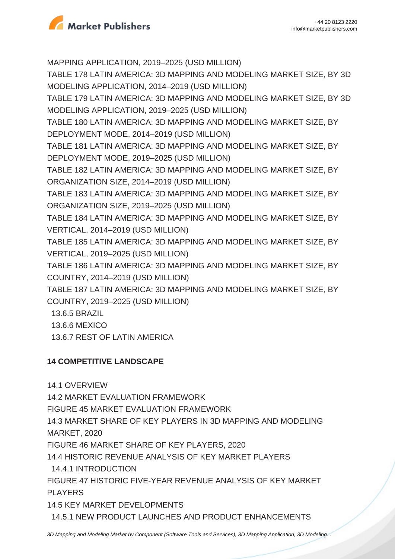

MAPPING APPLICATION, 2019–2025 (USD MILLION) TABLE 178 LATIN AMERICA: 3D MAPPING AND MODELING MARKET SIZE, BY 3D MODELING APPLICATION, 2014–2019 (USD MILLION) TABLE 179 LATIN AMERICA: 3D MAPPING AND MODELING MARKET SIZE, BY 3D MODELING APPLICATION, 2019–2025 (USD MILLION) TABLE 180 LATIN AMERICA: 3D MAPPING AND MODELING MARKET SIZE, BY DEPLOYMENT MODE, 2014–2019 (USD MILLION) TABLE 181 LATIN AMERICA: 3D MAPPING AND MODELING MARKET SIZE, BY DEPLOYMENT MODE, 2019–2025 (USD MILLION) TABLE 182 LATIN AMERICA: 3D MAPPING AND MODELING MARKET SIZE, BY ORGANIZATION SIZE, 2014–2019 (USD MILLION) TABLE 183 LATIN AMERICA: 3D MAPPING AND MODELING MARKET SIZE, BY ORGANIZATION SIZE, 2019–2025 (USD MILLION) TABLE 184 LATIN AMERICA: 3D MAPPING AND MODELING MARKET SIZE, BY VERTICAL, 2014–2019 (USD MILLION) TABLE 185 LATIN AMERICA: 3D MAPPING AND MODELING MARKET SIZE, BY VERTICAL, 2019–2025 (USD MILLION) TABLE 186 LATIN AMERICA: 3D MAPPING AND MODELING MARKET SIZE, BY COUNTRY, 2014–2019 (USD MILLION) TABLE 187 LATIN AMERICA: 3D MAPPING AND MODELING MARKET SIZE, BY COUNTRY, 2019–2025 (USD MILLION) 13.6.5 BRAZIL

- 13.6.6 MEXICO
- 13.6.7 REST OF LATIN AMERICA

## **14 COMPETITIVE LANDSCAPE**

14.1 OVERVIEW

14.2 MARKET EVALUATION FRAMEWORK

FIGURE 45 MARKET EVALUATION FRAMEWORK

14.3 MARKET SHARE OF KEY PLAYERS IN 3D MAPPING AND MODELING MARKET, 2020

FIGURE 46 MARKET SHARE OF KEY PLAYERS, 2020

14.4 HISTORIC REVENUE ANALYSIS OF KEY MARKET PLAYERS

14.4.1 INTRODUCTION

FIGURE 47 HISTORIC FIVE-YEAR REVENUE ANALYSIS OF KEY MARKET PLAYERS

14.5 KEY MARKET DEVELOPMENTS

14.5.1 NEW PRODUCT LAUNCHES AND PRODUCT ENHANCEMENTS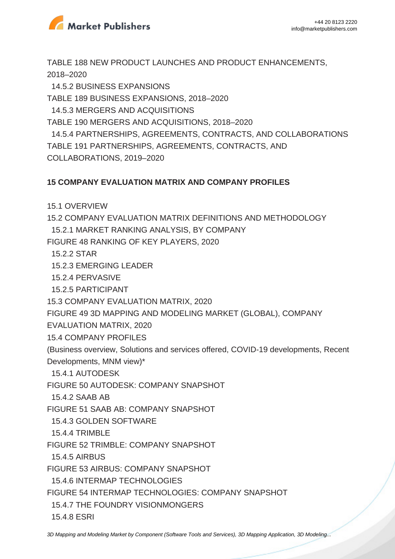

TABLE 188 NEW PRODUCT LAUNCHES AND PRODUCT ENHANCEMENTS, 2018–2020

 14.5.2 BUSINESS EXPANSIONS TABLE 189 BUSINESS EXPANSIONS, 2018–2020 14.5.3 MERGERS AND ACQUISITIONS TABLE 190 MERGERS AND ACQUISITIONS, 2018–2020 14.5.4 PARTNERSHIPS, AGREEMENTS, CONTRACTS, AND COLLABORATIONS TABLE 191 PARTNERSHIPS, AGREEMENTS, CONTRACTS, AND COLLABORATIONS, 2019–2020

#### **15 COMPANY EVALUATION MATRIX AND COMPANY PROFILES**

15.1 OVERVIEW

15.2 COMPANY EVALUATION MATRIX DEFINITIONS AND METHODOLOGY 15.2.1 MARKET RANKING ANALYSIS, BY COMPANY

FIGURE 48 RANKING OF KEY PLAYERS, 2020

15.2.2 STAR

15.2.3 EMERGING LEADER

15.2.4 PERVASIVE

15.2.5 PARTICIPANT

15.3 COMPANY EVALUATION MATRIX, 2020

FIGURE 49 3D MAPPING AND MODELING MARKET (GLOBAL), COMPANY

EVALUATION MATRIX, 2020

15.4 COMPANY PROFILES

(Business overview, Solutions and services offered, COVID-19 developments, Recent Developments, MNM view)\*

15.4.1 AUTODESK

FIGURE 50 AUTODESK: COMPANY SNAPSHOT

15.4.2 SAAB AB

FIGURE 51 SAAB AB: COMPANY SNAPSHOT

15.4.3 GOLDEN SOFTWARE

15.4.4 TRIMBLE

FIGURE 52 TRIMBLE: COMPANY SNAPSHOT

15.4.5 AIRBUS

FIGURE 53 AIRBUS: COMPANY SNAPSHOT

15.4.6 INTERMAP TECHNOLOGIES

FIGURE 54 INTERMAP TECHNOLOGIES: COMPANY SNAPSHOT

15.4.7 THE FOUNDRY VISIONMONGERS

15.4.8 ESRI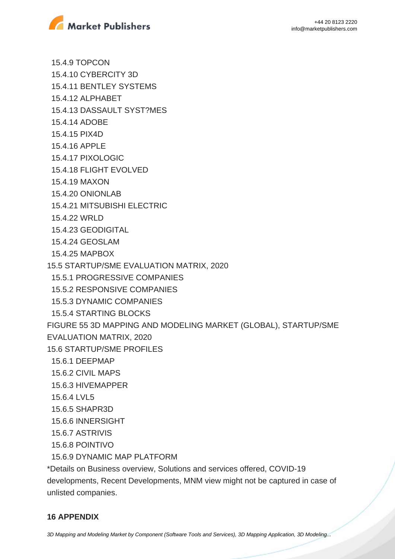

 15.4.9 TOPCON 15.4.10 CYBERCITY 3D 15.4.11 BENTLEY SYSTEMS 15.4.12 ALPHABET 15.4.13 DASSAULT SYST?MES 15.4.14 ADOBE 15.4.15 PIX4D 15.4.16 APPLE 15.4.17 PIXOLOGIC 15.4.18 FLIGHT EVOLVED 15.4.19 MAXON 15.4.20 ONIONLAB 15.4.21 MITSUBISHI ELECTRIC 15.4.22 WRLD 15.4.23 GEODIGITAL 15.4.24 GEOSLAM 15.4.25 MAPBOX 15.5 STARTUP/SME EVALUATION MATRIX, 2020 15.5.1 PROGRESSIVE COMPANIES 15.5.2 RESPONSIVE COMPANIES 15.5.3 DYNAMIC COMPANIES 15.5.4 STARTING BLOCKS FIGURE 55 3D MAPPING AND MODELING MARKET (GLOBAL), STARTUP/SME EVALUATION MATRIX, 2020 15.6 STARTUP/SME PROFILES 15.6.1 DEEPMAP 15.6.2 CIVIL MAPS 15.6.3 HIVEMAPPER 15.6.4 LVL5 15.6.5 SHAPR3D 15.6.6 INNERSIGHT 15.6.7 ASTRIVIS 15.6.8 POINTIVO 15.6.9 DYNAMIC MAP PLATFORM

\*Details on Business overview, Solutions and services offered, COVID-19 developments, Recent Developments, MNM view might not be captured in case of unlisted companies.

### **16 APPENDIX**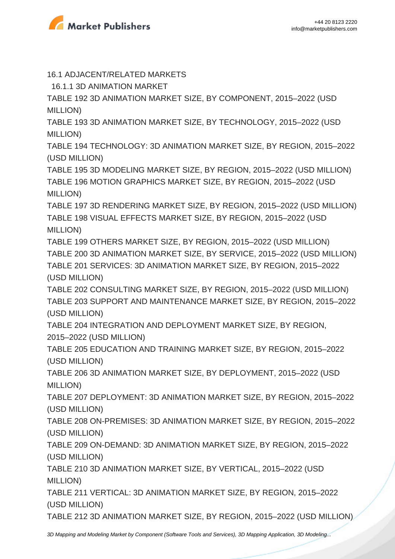

16.1 ADJACENT/RELATED MARKETS

16.1.1 3D ANIMATION MARKET

TABLE 192 3D ANIMATION MARKET SIZE, BY COMPONENT, 2015–2022 (USD MILLION)

TABLE 193 3D ANIMATION MARKET SIZE, BY TECHNOLOGY, 2015–2022 (USD MILLION)

TABLE 194 TECHNOLOGY: 3D ANIMATION MARKET SIZE, BY REGION, 2015–2022 (USD MILLION)

TABLE 195 3D MODELING MARKET SIZE, BY REGION, 2015–2022 (USD MILLION) TABLE 196 MOTION GRAPHICS MARKET SIZE, BY REGION, 2015–2022 (USD MILLION)

TABLE 197 3D RENDERING MARKET SIZE, BY REGION, 2015–2022 (USD MILLION) TABLE 198 VISUAL EFFECTS MARKET SIZE, BY REGION, 2015–2022 (USD MILLION)

TABLE 199 OTHERS MARKET SIZE, BY REGION, 2015–2022 (USD MILLION) TABLE 200 3D ANIMATION MARKET SIZE, BY SERVICE, 2015–2022 (USD MILLION) TABLE 201 SERVICES: 3D ANIMATION MARKET SIZE, BY REGION, 2015–2022 (USD MILLION)

TABLE 202 CONSULTING MARKET SIZE, BY REGION, 2015–2022 (USD MILLION) TABLE 203 SUPPORT AND MAINTENANCE MARKET SIZE, BY REGION, 2015–2022 (USD MILLION)

TABLE 204 INTEGRATION AND DEPLOYMENT MARKET SIZE, BY REGION, 2015–2022 (USD MILLION)

TABLE 205 EDUCATION AND TRAINING MARKET SIZE, BY REGION, 2015–2022 (USD MILLION)

TABLE 206 3D ANIMATION MARKET SIZE, BY DEPLOYMENT, 2015–2022 (USD MILLION)

TABLE 207 DEPLOYMENT: 3D ANIMATION MARKET SIZE, BY REGION, 2015–2022 (USD MILLION)

TABLE 208 ON-PREMISES: 3D ANIMATION MARKET SIZE, BY REGION, 2015–2022 (USD MILLION)

TABLE 209 ON-DEMAND: 3D ANIMATION MARKET SIZE, BY REGION, 2015–2022 (USD MILLION)

TABLE 210 3D ANIMATION MARKET SIZE, BY VERTICAL, 2015–2022 (USD MILLION)

TABLE 211 VERTICAL: 3D ANIMATION MARKET SIZE, BY REGION, 2015–2022 (USD MILLION)

TABLE 212 3D ANIMATION MARKET SIZE, BY REGION, 2015–2022 (USD MILLION)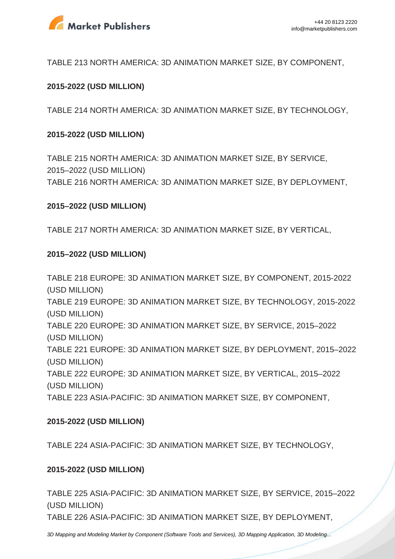

TABLE 213 NORTH AMERICA: 3D ANIMATION MARKET SIZE, BY COMPONENT,

#### **2015-2022 (USD MILLION)**

TABLE 214 NORTH AMERICA: 3D ANIMATION MARKET SIZE, BY TECHNOLOGY,

#### **2015-2022 (USD MILLION)**

TABLE 215 NORTH AMERICA: 3D ANIMATION MARKET SIZE, BY SERVICE, 2015–2022 (USD MILLION) TABLE 216 NORTH AMERICA: 3D ANIMATION MARKET SIZE, BY DEPLOYMENT,

#### **2015–2022 (USD MILLION)**

TABLE 217 NORTH AMERICA: 3D ANIMATION MARKET SIZE, BY VERTICAL,

#### **2015–2022 (USD MILLION)**

TABLE 218 EUROPE: 3D ANIMATION MARKET SIZE, BY COMPONENT, 2015-2022 (USD MILLION) TABLE 219 EUROPE: 3D ANIMATION MARKET SIZE, BY TECHNOLOGY, 2015-2022 (USD MILLION) TABLE 220 EUROPE: 3D ANIMATION MARKET SIZE, BY SERVICE, 2015–2022 (USD MILLION) TABLE 221 EUROPE: 3D ANIMATION MARKET SIZE, BY DEPLOYMENT, 2015–2022 (USD MILLION) TABLE 222 EUROPE: 3D ANIMATION MARKET SIZE, BY VERTICAL, 2015–2022 (USD MILLION) TABLE 223 ASIA-PACIFIC: 3D ANIMATION MARKET SIZE, BY COMPONENT,

#### **2015-2022 (USD MILLION)**

TABLE 224 ASIA-PACIFIC: 3D ANIMATION MARKET SIZE, BY TECHNOLOGY,

#### **2015-2022 (USD MILLION)**

TABLE 225 ASIA-PACIFIC: 3D ANIMATION MARKET SIZE, BY SERVICE, 2015–2022 (USD MILLION)

TABLE 226 ASIA-PACIFIC: 3D ANIMATION MARKET SIZE, BY DEPLOYMENT,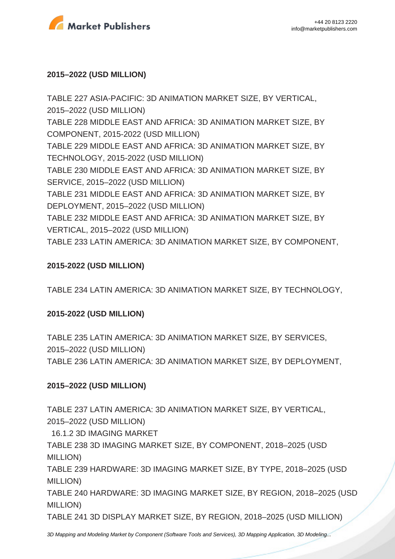

#### **2015–2022 (USD MILLION)**

TABLE 227 ASIA-PACIFIC: 3D ANIMATION MARKET SIZE, BY VERTICAL, 2015–2022 (USD MILLION) TABLE 228 MIDDLE EAST AND AFRICA: 3D ANIMATION MARKET SIZE, BY COMPONENT, 2015-2022 (USD MILLION) TABLE 229 MIDDLE EAST AND AFRICA: 3D ANIMATION MARKET SIZE, BY TECHNOLOGY, 2015-2022 (USD MILLION) TABLE 230 MIDDLE EAST AND AFRICA: 3D ANIMATION MARKET SIZE, BY SERVICE, 2015–2022 (USD MILLION) TABLE 231 MIDDLE EAST AND AFRICA: 3D ANIMATION MARKET SIZE, BY DEPLOYMENT, 2015–2022 (USD MILLION) TABLE 232 MIDDLE EAST AND AFRICA: 3D ANIMATION MARKET SIZE, BY VERTICAL, 2015–2022 (USD MILLION) TABLE 233 LATIN AMERICA: 3D ANIMATION MARKET SIZE, BY COMPONENT,

#### **2015-2022 (USD MILLION)**

TABLE 234 LATIN AMERICA: 3D ANIMATION MARKET SIZE, BY TECHNOLOGY,

### **2015-2022 (USD MILLION)**

TABLE 235 LATIN AMERICA: 3D ANIMATION MARKET SIZE, BY SERVICES, 2015–2022 (USD MILLION) TABLE 236 LATIN AMERICA: 3D ANIMATION MARKET SIZE, BY DEPLOYMENT,

### **2015–2022 (USD MILLION)**

TABLE 237 LATIN AMERICA: 3D ANIMATION MARKET SIZE, BY VERTICAL, 2015–2022 (USD MILLION)

16.1.2 3D IMAGING MARKET

TABLE 238 3D IMAGING MARKET SIZE, BY COMPONENT, 2018–2025 (USD MILLION)

TABLE 239 HARDWARE: 3D IMAGING MARKET SIZE, BY TYPE, 2018–2025 (USD MILLION)

TABLE 240 HARDWARE: 3D IMAGING MARKET SIZE, BY REGION, 2018–2025 (USD MILLION)

TABLE 241 3D DISPLAY MARKET SIZE, BY REGION, 2018–2025 (USD MILLION)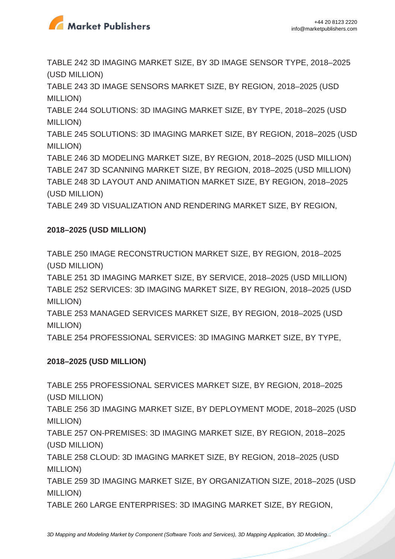

TABLE 242 3D IMAGING MARKET SIZE, BY 3D IMAGE SENSOR TYPE, 2018–2025 (USD MILLION)

TABLE 243 3D IMAGE SENSORS MARKET SIZE, BY REGION, 2018–2025 (USD MILLION)

TABLE 244 SOLUTIONS: 3D IMAGING MARKET SIZE, BY TYPE, 2018–2025 (USD MILLION)

TABLE 245 SOLUTIONS: 3D IMAGING MARKET SIZE, BY REGION, 2018–2025 (USD MILLION)

TABLE 246 3D MODELING MARKET SIZE, BY REGION, 2018–2025 (USD MILLION) TABLE 247 3D SCANNING MARKET SIZE, BY REGION, 2018–2025 (USD MILLION) TABLE 248 3D LAYOUT AND ANIMATION MARKET SIZE, BY REGION, 2018–2025 (USD MILLION)

TABLE 249 3D VISUALIZATION AND RENDERING MARKET SIZE, BY REGION,

## **2018–2025 (USD MILLION)**

TABLE 250 IMAGE RECONSTRUCTION MARKET SIZE, BY REGION, 2018–2025 (USD MILLION)

TABLE 251 3D IMAGING MARKET SIZE, BY SERVICE, 2018–2025 (USD MILLION) TABLE 252 SERVICES: 3D IMAGING MARKET SIZE, BY REGION, 2018–2025 (USD MILLION)

TABLE 253 MANAGED SERVICES MARKET SIZE, BY REGION, 2018–2025 (USD MILLION)

TABLE 254 PROFESSIONAL SERVICES: 3D IMAGING MARKET SIZE, BY TYPE,

## **2018–2025 (USD MILLION)**

TABLE 255 PROFESSIONAL SERVICES MARKET SIZE, BY REGION, 2018–2025 (USD MILLION)

TABLE 256 3D IMAGING MARKET SIZE, BY DEPLOYMENT MODE, 2018–2025 (USD MILLION)

TABLE 257 ON-PREMISES: 3D IMAGING MARKET SIZE, BY REGION, 2018–2025 (USD MILLION)

TABLE 258 CLOUD: 3D IMAGING MARKET SIZE, BY REGION, 2018–2025 (USD MILLION)

TABLE 259 3D IMAGING MARKET SIZE, BY ORGANIZATION SIZE, 2018–2025 (USD MILLION)

TABLE 260 LARGE ENTERPRISES: 3D IMAGING MARKET SIZE, BY REGION,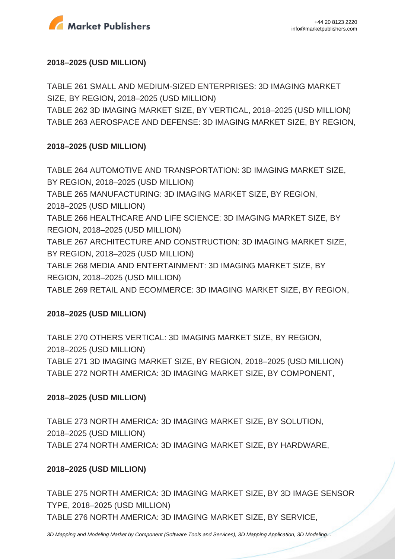

### **2018–2025 (USD MILLION)**

TABLE 261 SMALL AND MEDIUM-SIZED ENTERPRISES: 3D IMAGING MARKET SIZE, BY REGION, 2018–2025 (USD MILLION)

TABLE 262 3D IMAGING MARKET SIZE, BY VERTICAL, 2018–2025 (USD MILLION) TABLE 263 AEROSPACE AND DEFENSE: 3D IMAGING MARKET SIZE, BY REGION,

## **2018–2025 (USD MILLION)**

TABLE 264 AUTOMOTIVE AND TRANSPORTATION: 3D IMAGING MARKET SIZE, BY REGION, 2018–2025 (USD MILLION) TABLE 265 MANUFACTURING: 3D IMAGING MARKET SIZE, BY REGION, 2018–2025 (USD MILLION) TABLE 266 HEALTHCARE AND LIFE SCIENCE: 3D IMAGING MARKET SIZE, BY REGION, 2018–2025 (USD MILLION) TABLE 267 ARCHITECTURE AND CONSTRUCTION: 3D IMAGING MARKET SIZE, BY REGION, 2018–2025 (USD MILLION) TABLE 268 MEDIA AND ENTERTAINMENT: 3D IMAGING MARKET SIZE, BY REGION, 2018–2025 (USD MILLION) TABLE 269 RETAIL AND ECOMMERCE: 3D IMAGING MARKET SIZE, BY REGION,

### **2018–2025 (USD MILLION)**

TABLE 270 OTHERS VERTICAL: 3D IMAGING MARKET SIZE, BY REGION, 2018–2025 (USD MILLION)

TABLE 271 3D IMAGING MARKET SIZE, BY REGION, 2018–2025 (USD MILLION) TABLE 272 NORTH AMERICA: 3D IMAGING MARKET SIZE, BY COMPONENT,

## **2018–2025 (USD MILLION)**

TABLE 273 NORTH AMERICA: 3D IMAGING MARKET SIZE, BY SOLUTION, 2018–2025 (USD MILLION) TABLE 274 NORTH AMERICA: 3D IMAGING MARKET SIZE, BY HARDWARE,

### **2018–2025 (USD MILLION)**

TABLE 275 NORTH AMERICA: 3D IMAGING MARKET SIZE, BY 3D IMAGE SENSOR TYPE, 2018–2025 (USD MILLION) TABLE 276 NORTH AMERICA: 3D IMAGING MARKET SIZE, BY SERVICE,

[3D Mapping and Modeling Market by Component \(Software Tools and Services\), 3D Mapping Application, 3D Modeling...](https://marketpublishers.com/report/software/application_software/3d-mapping-3d-modeling-global-advancements-worldwide-market-size-n-forecasts-2013-2018.html)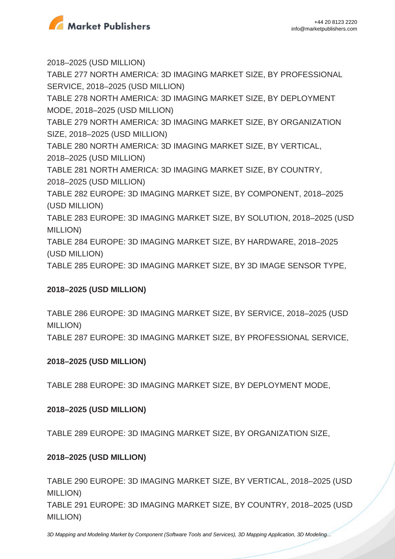

TABLE 290 EUROPE: 3D IMAGING MARKET SIZE, BY VERTICAL, 2018–2025 (USD MILLION)

TABLE 291 EUROPE: 3D IMAGING MARKET SIZE, BY COUNTRY, 2018–2025 (USD MILLION)

## **2018–2025 (USD MILLION)**

**2018–2025 (USD MILLION)**

**2018–2025 (USD MILLION)**

(USD MILLION)

MILLION)

TABLE 288 EUROPE: 3D IMAGING MARKET SIZE, BY DEPLOYMENT MODE,

TABLE 289 EUROPE: 3D IMAGING MARKET SIZE, BY ORGANIZATION SIZE,

**2018–2025 (USD MILLION)**

TABLE 286 EUROPE: 3D IMAGING MARKET SIZE, BY SERVICE, 2018–2025 (USD MILLION)

TABLE 287 EUROPE: 3D IMAGING MARKET SIZE, BY PROFESSIONAL SERVICE,

(USD MILLION) TABLE 285 EUROPE: 3D IMAGING MARKET SIZE, BY 3D IMAGE SENSOR TYPE,

TABLE 284 EUROPE: 3D IMAGING MARKET SIZE, BY HARDWARE, 2018–2025

TABLE 283 EUROPE: 3D IMAGING MARKET SIZE, BY SOLUTION, 2018–2025 (USD

2018–2025 (USD MILLION) TABLE 282 EUROPE: 3D IMAGING MARKET SIZE, BY COMPONENT, 2018–2025

2018–2025 (USD MILLION) TABLE 281 NORTH AMERICA: 3D IMAGING MARKET SIZE, BY COUNTRY,

TABLE 280 NORTH AMERICA: 3D IMAGING MARKET SIZE, BY VERTICAL,

SIZE, 2018–2025 (USD MILLION)

MODE, 2018–2025 (USD MILLION) TABLE 279 NORTH AMERICA: 3D IMAGING MARKET SIZE, BY ORGANIZATION

TABLE 278 NORTH AMERICA: 3D IMAGING MARKET SIZE, BY DEPLOYMENT

2018–2025 (USD MILLION) TABLE 277 NORTH AMERICA: 3D IMAGING MARKET SIZE, BY PROFESSIONAL SERVICE, 2018–2025 (USD MILLION)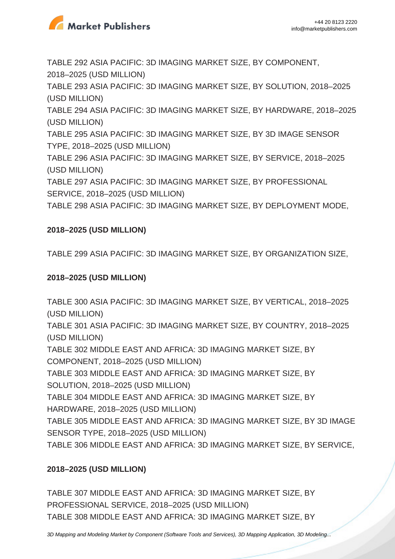

TABLE 292 ASIA PACIFIC: 3D IMAGING MARKET SIZE, BY COMPONENT, 2018–2025 (USD MILLION)

TABLE 293 ASIA PACIFIC: 3D IMAGING MARKET SIZE, BY SOLUTION, 2018–2025 (USD MILLION)

TABLE 294 ASIA PACIFIC: 3D IMAGING MARKET SIZE, BY HARDWARE, 2018–2025 (USD MILLION)

TABLE 295 ASIA PACIFIC: 3D IMAGING MARKET SIZE, BY 3D IMAGE SENSOR TYPE, 2018–2025 (USD MILLION)

TABLE 296 ASIA PACIFIC: 3D IMAGING MARKET SIZE, BY SERVICE, 2018–2025 (USD MILLION)

TABLE 297 ASIA PACIFIC: 3D IMAGING MARKET SIZE, BY PROFESSIONAL SERVICE, 2018–2025 (USD MILLION)

TABLE 298 ASIA PACIFIC: 3D IMAGING MARKET SIZE, BY DEPLOYMENT MODE,

## **2018–2025 (USD MILLION)**

TABLE 299 ASIA PACIFIC: 3D IMAGING MARKET SIZE, BY ORGANIZATION SIZE,

### **2018–2025 (USD MILLION)**

TABLE 300 ASIA PACIFIC: 3D IMAGING MARKET SIZE, BY VERTICAL, 2018–2025 (USD MILLION)

TABLE 301 ASIA PACIFIC: 3D IMAGING MARKET SIZE, BY COUNTRY, 2018–2025 (USD MILLION)

TABLE 302 MIDDLE EAST AND AFRICA: 3D IMAGING MARKET SIZE, BY COMPONENT, 2018–2025 (USD MILLION)

TABLE 303 MIDDLE EAST AND AFRICA: 3D IMAGING MARKET SIZE, BY SOLUTION, 2018–2025 (USD MILLION)

TABLE 304 MIDDLE EAST AND AFRICA: 3D IMAGING MARKET SIZE, BY HARDWARE, 2018–2025 (USD MILLION)

TABLE 305 MIDDLE EAST AND AFRICA: 3D IMAGING MARKET SIZE, BY 3D IMAGE SENSOR TYPE, 2018–2025 (USD MILLION)

TABLE 306 MIDDLE EAST AND AFRICA: 3D IMAGING MARKET SIZE, BY SERVICE,

## **2018–2025 (USD MILLION)**

TABLE 307 MIDDLE EAST AND AFRICA: 3D IMAGING MARKET SIZE, BY PROFESSIONAL SERVICE, 2018–2025 (USD MILLION) TABLE 308 MIDDLE EAST AND AFRICA: 3D IMAGING MARKET SIZE, BY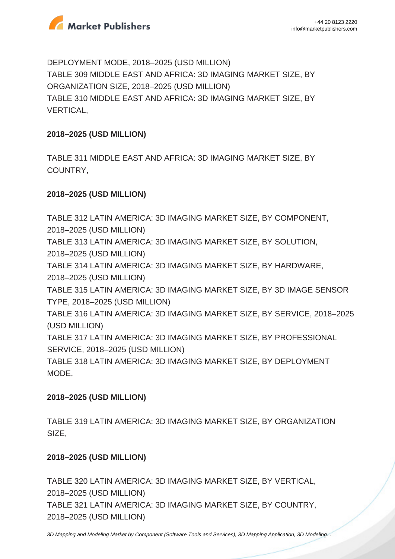

DEPLOYMENT MODE, 2018–2025 (USD MILLION) TABLE 309 MIDDLE EAST AND AFRICA: 3D IMAGING MARKET SIZE, BY ORGANIZATION SIZE, 2018–2025 (USD MILLION) TABLE 310 MIDDLE EAST AND AFRICA: 3D IMAGING MARKET SIZE, BY VERTICAL,

### **2018–2025 (USD MILLION)**

TABLE 311 MIDDLE EAST AND AFRICA: 3D IMAGING MARKET SIZE, BY COUNTRY,

## **2018–2025 (USD MILLION)**

TABLE 312 LATIN AMERICA: 3D IMAGING MARKET SIZE, BY COMPONENT, 2018–2025 (USD MILLION) TABLE 313 LATIN AMERICA: 3D IMAGING MARKET SIZE, BY SOLUTION, 2018–2025 (USD MILLION) TABLE 314 LATIN AMERICA: 3D IMAGING MARKET SIZE, BY HARDWARE, 2018–2025 (USD MILLION) TABLE 315 LATIN AMERICA: 3D IMAGING MARKET SIZE, BY 3D IMAGE SENSOR TYPE, 2018–2025 (USD MILLION) TABLE 316 LATIN AMERICA: 3D IMAGING MARKET SIZE, BY SERVICE, 2018–2025 (USD MILLION) TABLE 317 LATIN AMERICA: 3D IMAGING MARKET SIZE, BY PROFESSIONAL SERVICE, 2018–2025 (USD MILLION) TABLE 318 LATIN AMERICA: 3D IMAGING MARKET SIZE, BY DEPLOYMENT MODE,

### **2018–2025 (USD MILLION)**

TABLE 319 LATIN AMERICA: 3D IMAGING MARKET SIZE, BY ORGANIZATION SIZE,

### **2018–2025 (USD MILLION)**

TABLE 320 LATIN AMERICA: 3D IMAGING MARKET SIZE, BY VERTICAL, 2018–2025 (USD MILLION) TABLE 321 LATIN AMERICA: 3D IMAGING MARKET SIZE, BY COUNTRY, 2018–2025 (USD MILLION)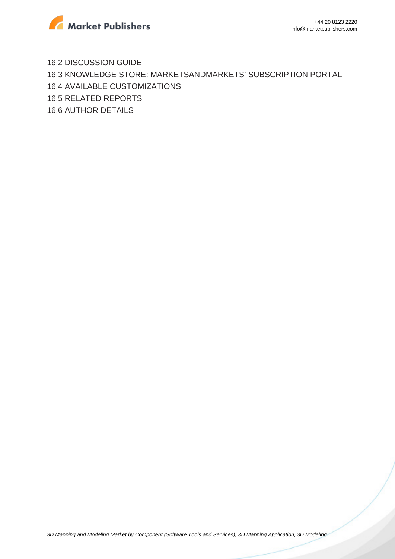

16.2 DISCUSSION GUIDE 16.3 KNOWLEDGE STORE: MARKETSANDMARKETS' SUBSCRIPTION PORTAL 16.4 AVAILABLE CUSTOMIZATIONS 16.5 RELATED REPORTS 16.6 AUTHOR DETAILS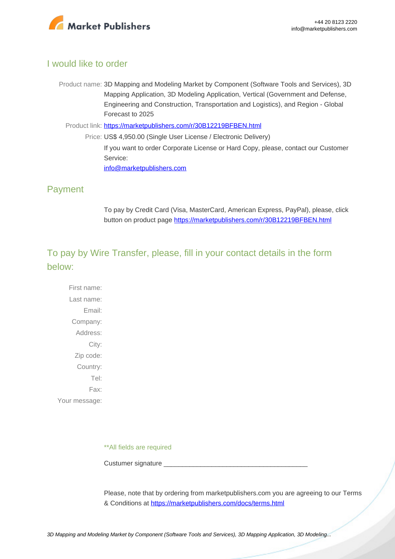

## I would like to order

- Product name: 3D Mapping and Modeling Market by Component (Software Tools and Services), 3D Mapping Application, 3D Modeling Application, Vertical (Government and Defense, Engineering and Construction, Transportation and Logistics), and Region - Global Forecast to 2025
	- Product link: [https://marketpublishers.com/r/30B12219BFBEN.html](https://marketpublishers.com/report/software/application_software/3d-mapping-3d-modeling-global-advancements-worldwide-market-size-n-forecasts-2013-2018.html)
		- Price: US\$ 4,950.00 (Single User License / Electronic Delivery) If you want to order Corporate License or Hard Copy, please, contact our Customer Service: [info@marketpublishers.com](mailto:info@marketpublishers.com)

## Payment

To pay by Credit Card (Visa, MasterCard, American Express, PayPal), please, click button on product page [https://marketpublishers.com/r/30B12219BFBEN.html](https://marketpublishers.com/report/software/application_software/3d-mapping-3d-modeling-global-advancements-worldwide-market-size-n-forecasts-2013-2018.html)

# To pay by Wire Transfer, please, fill in your contact details in the form below:

First name: Last name: Email: Company: Address: City: Zip code: Country: Tel: Fax: Your message:

\*\*All fields are required

Custumer signature \_\_\_\_\_\_\_\_\_\_\_\_\_\_\_\_\_\_\_\_\_\_\_\_\_\_\_\_\_\_\_\_\_\_\_\_\_\_\_

Please, note that by ordering from marketpublishers.com you are agreeing to our Terms & Conditions at<https://marketpublishers.com/docs/terms.html>

[3D Mapping and Modeling Market by Component \(Software Tools and Services\), 3D Mapping Application, 3D Modeling...](https://marketpublishers.com/report/software/application_software/3d-mapping-3d-modeling-global-advancements-worldwide-market-size-n-forecasts-2013-2018.html)